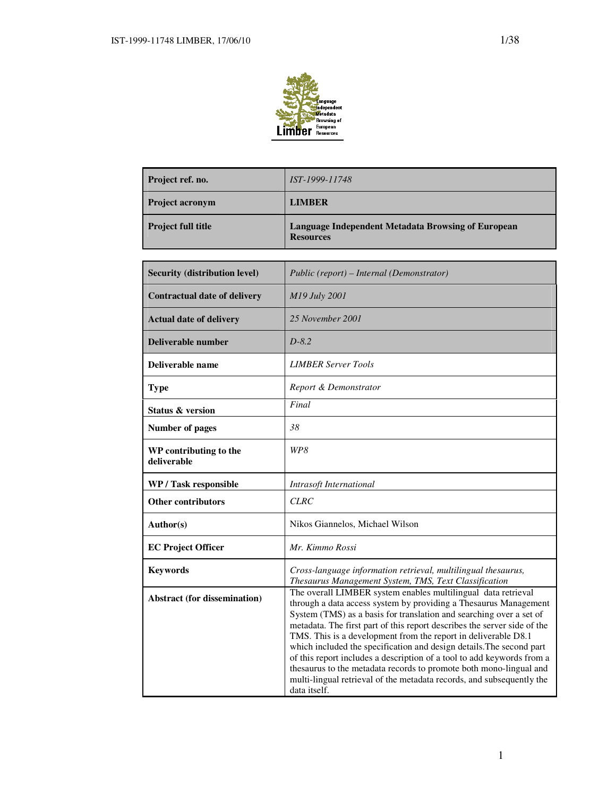

| Project ref. no.          | <i>IST-1999-11748</i>                                                  |
|---------------------------|------------------------------------------------------------------------|
| <b>Project acronym</b>    | <b>LIMBER</b>                                                          |
| <b>Project full title</b> | Language Independent Metadata Browsing of European<br><b>Resources</b> |

| <b>Security (distribution level)</b>  | Public (report) – Internal (Demonstrator)                                                                                                                                                                                                                                                                                                                                                                                                                                                                                                                                                                                                                               |  |  |  |
|---------------------------------------|-------------------------------------------------------------------------------------------------------------------------------------------------------------------------------------------------------------------------------------------------------------------------------------------------------------------------------------------------------------------------------------------------------------------------------------------------------------------------------------------------------------------------------------------------------------------------------------------------------------------------------------------------------------------------|--|--|--|
| <b>Contractual date of delivery</b>   | M19 July 2001                                                                                                                                                                                                                                                                                                                                                                                                                                                                                                                                                                                                                                                           |  |  |  |
| <b>Actual date of delivery</b>        | 25 November 2001                                                                                                                                                                                                                                                                                                                                                                                                                                                                                                                                                                                                                                                        |  |  |  |
| <b>Deliverable number</b>             | $D-8.2$                                                                                                                                                                                                                                                                                                                                                                                                                                                                                                                                                                                                                                                                 |  |  |  |
| Deliverable name                      | <b>LIMBER Server Tools</b>                                                                                                                                                                                                                                                                                                                                                                                                                                                                                                                                                                                                                                              |  |  |  |
| <b>Type</b>                           | Report & Demonstrator                                                                                                                                                                                                                                                                                                                                                                                                                                                                                                                                                                                                                                                   |  |  |  |
| <b>Status &amp; version</b>           | Final                                                                                                                                                                                                                                                                                                                                                                                                                                                                                                                                                                                                                                                                   |  |  |  |
| Number of pages                       | 38                                                                                                                                                                                                                                                                                                                                                                                                                                                                                                                                                                                                                                                                      |  |  |  |
| WP contributing to the<br>deliverable | WP8                                                                                                                                                                                                                                                                                                                                                                                                                                                                                                                                                                                                                                                                     |  |  |  |
| WP / Task responsible                 | Intrasoft International                                                                                                                                                                                                                                                                                                                                                                                                                                                                                                                                                                                                                                                 |  |  |  |
| <b>Other contributors</b>             | <b>CLRC</b>                                                                                                                                                                                                                                                                                                                                                                                                                                                                                                                                                                                                                                                             |  |  |  |
| Author(s)                             | Nikos Giannelos, Michael Wilson                                                                                                                                                                                                                                                                                                                                                                                                                                                                                                                                                                                                                                         |  |  |  |
| <b>EC Project Officer</b>             | Mr. Kimmo Rossi                                                                                                                                                                                                                                                                                                                                                                                                                                                                                                                                                                                                                                                         |  |  |  |
| <b>Keywords</b>                       | Cross-language information retrieval, multilingual thesaurus,<br>Thesaurus Management System, TMS, Text Classification                                                                                                                                                                                                                                                                                                                                                                                                                                                                                                                                                  |  |  |  |
| <b>Abstract (for dissemination)</b>   | The overall LIMBER system enables multilingual data retrieval<br>through a data access system by providing a Thesaurus Management<br>System (TMS) as a basis for translation and searching over a set of<br>metadata. The first part of this report describes the server side of the<br>TMS. This is a development from the report in deliverable D8.1<br>which included the specification and design details. The second part<br>of this report includes a description of a tool to add keywords from a<br>thesaurus to the metadata records to promote both mono-lingual and<br>multi-lingual retrieval of the metadata records, and subsequently the<br>data itself. |  |  |  |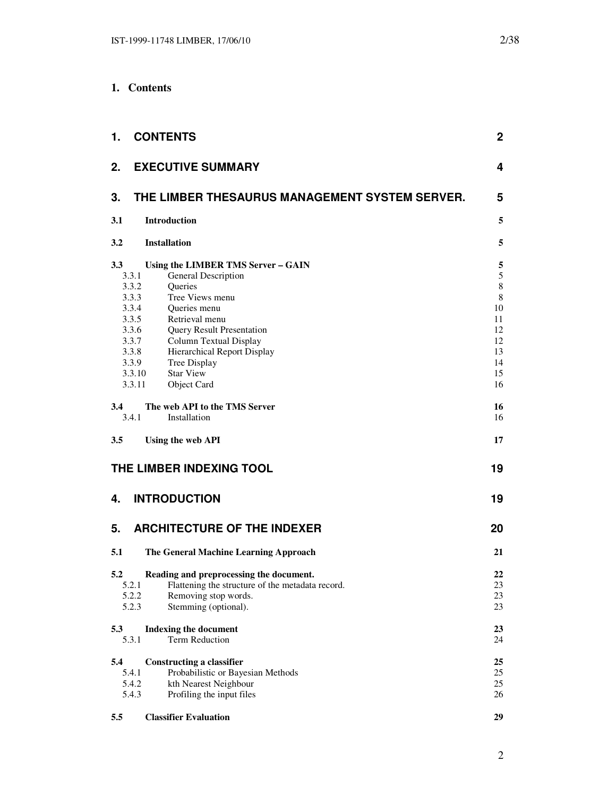| 1.                                                                                                       | <b>CONTENTS</b>                                                                                                                                                                                                                                                                                | $\mathbf 2$                                                                  |
|----------------------------------------------------------------------------------------------------------|------------------------------------------------------------------------------------------------------------------------------------------------------------------------------------------------------------------------------------------------------------------------------------------------|------------------------------------------------------------------------------|
| 2.                                                                                                       | <b>EXECUTIVE SUMMARY</b>                                                                                                                                                                                                                                                                       | 4                                                                            |
| 3.                                                                                                       | THE LIMBER THESAURUS MANAGEMENT SYSTEM SERVER.                                                                                                                                                                                                                                                 | 5                                                                            |
| 3.1                                                                                                      | <b>Introduction</b>                                                                                                                                                                                                                                                                            | 5                                                                            |
| 3.2                                                                                                      | <b>Installation</b>                                                                                                                                                                                                                                                                            | 5                                                                            |
| 3.3<br>3.3.1<br>3.3.2<br>3.3.3<br>3.3.4<br>3.3.5<br>3.3.6<br>3.3.7<br>3.3.8<br>3.3.9<br>3.3.10<br>3.3.11 | Using the LIMBER TMS Server - GAIN<br><b>General Description</b><br>Queries<br>Tree Views menu<br>Queries menu<br>Retrieval menu<br><b>Query Result Presentation</b><br><b>Column Textual Display</b><br><b>Hierarchical Report Display</b><br>Tree Display<br><b>Star View</b><br>Object Card | 5<br>5<br>$\,8\,$<br>$\,8\,$<br>10<br>11<br>12<br>12<br>13<br>14<br>15<br>16 |
| 3.4<br>3.4.1                                                                                             | The web API to the TMS Server<br>Installation                                                                                                                                                                                                                                                  | 16<br>16                                                                     |
| 3.5                                                                                                      | Using the web API                                                                                                                                                                                                                                                                              | 17                                                                           |
|                                                                                                          | THE LIMBER INDEXING TOOL                                                                                                                                                                                                                                                                       | 19                                                                           |
| 4.                                                                                                       | <b>INTRODUCTION</b>                                                                                                                                                                                                                                                                            | 19                                                                           |
| 5.                                                                                                       | <b>ARCHITECTURE OF THE INDEXER</b>                                                                                                                                                                                                                                                             | 20                                                                           |
| 5.1                                                                                                      | The General Machine Learning Approach                                                                                                                                                                                                                                                          | 21                                                                           |
| 5.2<br>5.2.1<br>5.2.2<br>5.2.3                                                                           | Reading and preprocessing the document.<br>Flattening the structure of the metadata record.<br>Removing stop words.<br>Stemming (optional).                                                                                                                                                    | 22<br>$23\,$<br>23<br>23                                                     |
| 5.3<br>5.3.1                                                                                             | <b>Indexing the document</b><br><b>Term Reduction</b>                                                                                                                                                                                                                                          | 23<br>24                                                                     |
| 5.4<br>5.4.1<br>5.4.2<br>5.4.3                                                                           | <b>Constructing a classifier</b><br>Probabilistic or Bayesian Methods<br>kth Nearest Neighbour<br>Profiling the input files                                                                                                                                                                    | 25<br>25<br>25<br>26                                                         |
| 5.5                                                                                                      | <b>Classifier Evaluation</b>                                                                                                                                                                                                                                                                   | 29                                                                           |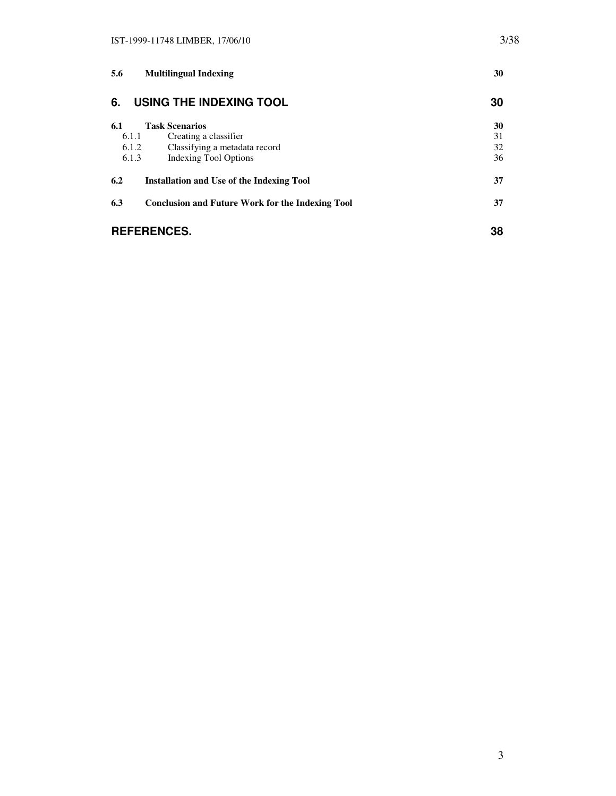| 5.6   | <b>Multilingual Indexing</b>                            | 30 |  |
|-------|---------------------------------------------------------|----|--|
| 6.    | USING THE INDEXING TOOL                                 | 30 |  |
| 6.1   | <b>Task Scenarios</b>                                   | 30 |  |
| 6.1.1 | Creating a classifier                                   | 31 |  |
| 6.1.2 | Classifying a metadata record                           | 32 |  |
| 6.1.3 | Indexing Tool Options                                   | 36 |  |
| 6.2   | <b>Installation and Use of the Indexing Tool</b>        | 37 |  |
| 6.3   | <b>Conclusion and Future Work for the Indexing Tool</b> | 37 |  |
|       | <b>REFERENCES.</b>                                      | 38 |  |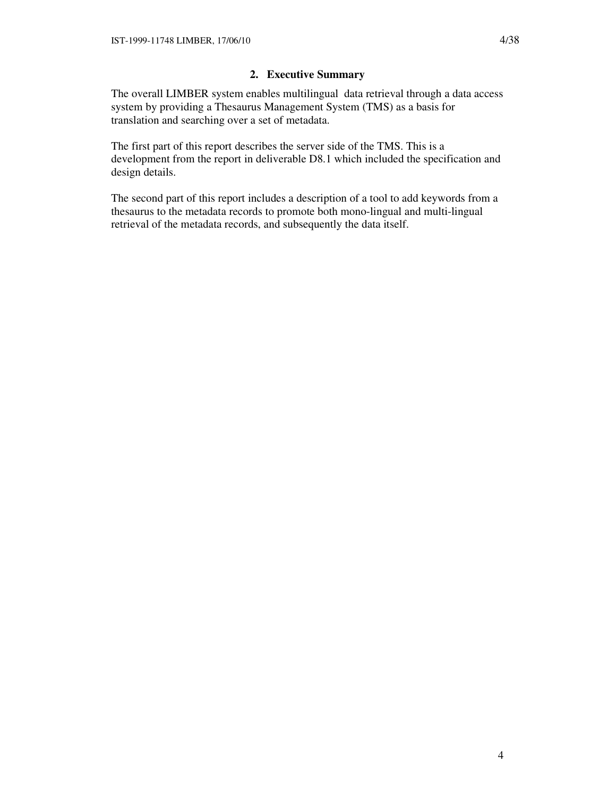# **2. Executive Summary**

The overall LIMBER system enables multilingual data retrieval through a data access system by providing a Thesaurus Management System (TMS) as a basis for translation and searching over a set of metadata.

The first part of this report describes the server side of the TMS. This is a development from the report in deliverable D8.1 which included the specification and design details.

The second part of this report includes a description of a tool to add keywords from a thesaurus to the metadata records to promote both mono-lingual and multi-lingual retrieval of the metadata records, and subsequently the data itself.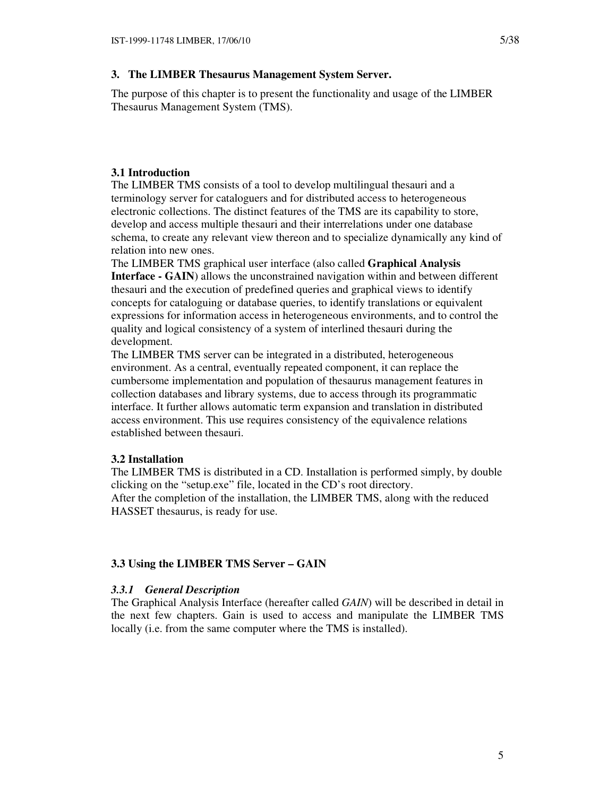### **3. The LIMBER Thesaurus Management System Server.**

The purpose of this chapter is to present the functionality and usage of the LIMBER Thesaurus Management System (TMS).

### **3.1 Introduction**

The LIMBER TMS consists of a tool to develop multilingual thesauri and a terminology server for cataloguers and for distributed access to heterogeneous electronic collections. The distinct features of the TMS are its capability to store, develop and access multiple thesauri and their interrelations under one database schema, to create any relevant view thereon and to specialize dynamically any kind of relation into new ones.

The LIMBER TMS graphical user interface (also called **Graphical Analysis Interface - GAIN**) allows the unconstrained navigation within and between different thesauri and the execution of predefined queries and graphical views to identify concepts for cataloguing or database queries, to identify translations or equivalent expressions for information access in heterogeneous environments, and to control the quality and logical consistency of a system of interlined thesauri during the development.

The LIMBER TMS server can be integrated in a distributed, heterogeneous environment. As a central, eventually repeated component, it can replace the cumbersome implementation and population of thesaurus management features in collection databases and library systems, due to access through its programmatic interface. It further allows automatic term expansion and translation in distributed access environment. This use requires consistency of the equivalence relations established between thesauri.

### **3.2 Installation**

The LIMBER TMS is distributed in a CD. Installation is performed simply, by double clicking on the "setup.exe" file, located in the CD's root directory. After the completion of the installation, the LIMBER TMS, along with the reduced HASSET thesaurus, is ready for use.

## **3.3 Using the LIMBER TMS Server – GAIN**

### *3.3.1 General Description*

The Graphical Analysis Interface (hereafter called *GAIN*) will be described in detail in the next few chapters. Gain is used to access and manipulate the LIMBER TMS locally (i.e. from the same computer where the TMS is installed).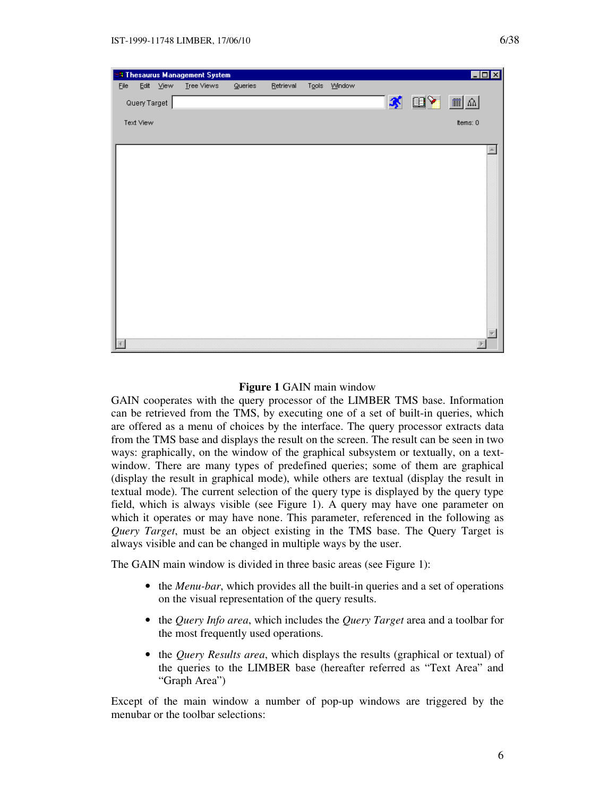

### **Figure 1** GAIN main window

GAIN cooperates with the query processor of the LIMBER TMS base. Information can be retrieved from the TMS, by executing one of a set of built-in queries, which are offered as a menu of choices by the interface. The query processor extracts data from the TMS base and displays the result on the screen. The result can be seen in two ways: graphically, on the window of the graphical subsystem or textually, on a textwindow. There are many types of predefined queries; some of them are graphical (display the result in graphical mode), while others are textual (display the result in textual mode). The current selection of the query type is displayed by the query type field, which is always visible (see Figure 1). A query may have one parameter on which it operates or may have none. This parameter, referenced in the following as *Query Target*, must be an object existing in the TMS base. The Query Target is always visible and can be changed in multiple ways by the user.

The GAIN main window is divided in three basic areas (see Figure 1):

- the *Menu-bar*, which provides all the built-in queries and a set of operations on the visual representation of the query results.
- the *Query Info area*, which includes the *Query Target* area and a toolbar for the most frequently used operations.
- the *Query Results area*, which displays the results (graphical or textual) of the queries to the LIMBER base (hereafter referred as "Text Area" and "Graph Area")

Except of the main window a number of pop-up windows are triggered by the menubar or the toolbar selections: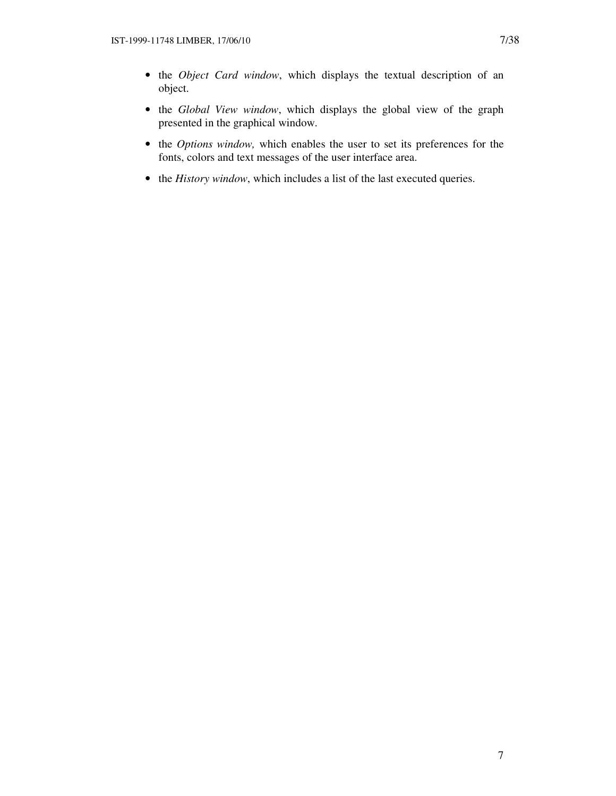- the *Object Card window*, which displays the textual description of an object.
- the *Global View window*, which displays the global view of the graph presented in the graphical window.
- the *Options window,* which enables the user to set its preferences for the fonts, colors and text messages of the user interface area.
- the *History window*, which includes a list of the last executed queries.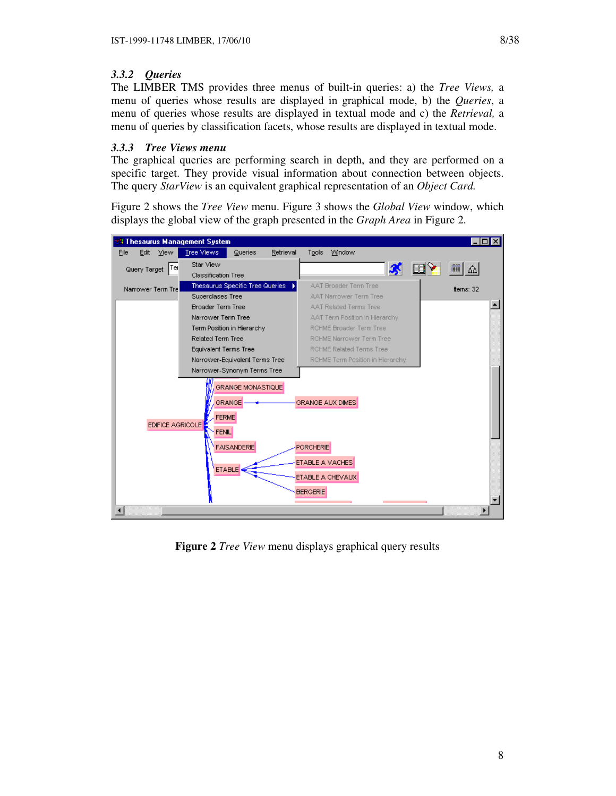# *3.3.2 Queries*

The LIMBER TMS provides three menus of built-in queries: a) the *Tree Views,* a menu of queries whose results are displayed in graphical mode, b) the *Queries*, a menu of queries whose results are displayed in textual mode and c) the *Retrieval,* a menu of queries by classification facets, whose results are displayed in textual mode.

# *3.3.3 Tree Views menu*

The graphical queries are performing search in depth, and they are performed on a specific target. They provide visual information about connection between objects. The query *StarView* is an equivalent graphical representation of an *Object Card.*

Figure 2 shows the *Tree View* menu. Figure 3 shows the *Global View* window, which displays the global view of the graph presented in the *Graph Area* in Figure 2.



**Figure 2** *Tree View* menu displays graphical query results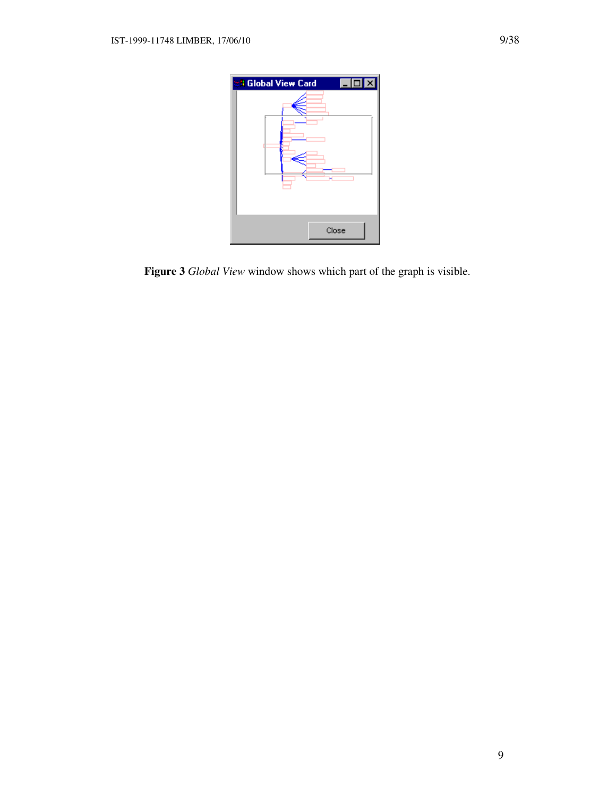

**Figure 3** *Global View* window shows which part of the graph is visible.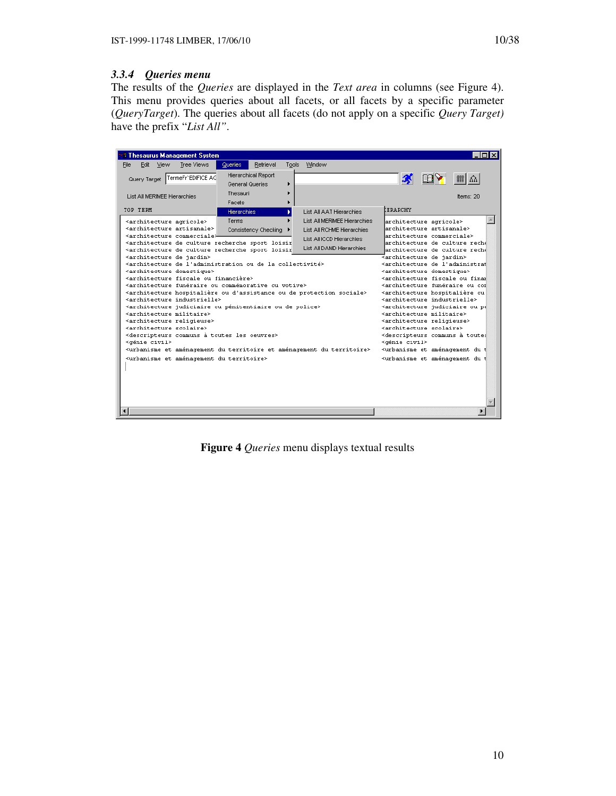# *3.3.4 Queries menu*

The results of the *Queries* are displayed in the *Text area* in columns (see Figure 4). This menu provides queries about all facets, or all facets by a specific parameter (*QueryTarget*). The queries about all facets (do not apply on a specific *Query Target)* have the prefix "*List All"*.

| <b>3 Thesaurus Management System</b>                                                                                                                                   |                                        |                              | – I⊡I ×                                                                                                        |
|------------------------------------------------------------------------------------------------------------------------------------------------------------------------|----------------------------------------|------------------------------|----------------------------------------------------------------------------------------------------------------|
| Edit<br>View<br>Tree Views<br>File                                                                                                                                     | Queries<br>Retrieval                   | Window<br>Tools              |                                                                                                                |
| TermeFr'EDIFICE AC<br>Query Target                                                                                                                                     | Hierarchical Report<br>General Queries | ٠                            | <b>BY</b><br>■△<br>K                                                                                           |
| List All MERIMEE Hierarchies                                                                                                                                           | Thesauri                               |                              | lterns: 20                                                                                                     |
| TOP TERM                                                                                                                                                               | Facets                                 |                              | ERRARCHY                                                                                                       |
|                                                                                                                                                                        | Hierarchies                            | List All AAT Hierarchies     |                                                                                                                |
| <architecture agricole=""></architecture>                                                                                                                              | Terms                                  | List All MERIMEE Hierarchies | architecture agricole>                                                                                         |
| <architecture artisanale=""><br/>≺architecture commerciale⊁</architecture>                                                                                             | Consistency Checking                   | List All RCHME Hierarchies   | architecture artisanale><br>architecture commerciale>                                                          |
| <architecture culture="" de="" loisir<="" recherche="" sport="" td=""><td></td><td>List All ICCD Hierarchies</td><td>architecture de culture reche</td></architecture> |                                        | List All ICCD Hierarchies    | architecture de culture reche                                                                                  |
| <architecture culture="" de="" loisir<="" recherche="" sport="" td=""><td></td><td>List All DAMD Hierarchies</td><td>architecture de culture reché</td></architecture> |                                        | List All DAMD Hierarchies    | architecture de culture reché                                                                                  |
| <architecture de="" jardin=""></architecture>                                                                                                                          |                                        |                              | <architecture de="" jardin=""></architecture>                                                                  |
| <architecture collectivité="" de="" l'administration="" la="" ou=""></architecture>                                                                                    |                                        |                              | <architecture de="" l'administrat<="" td=""></architecture>                                                    |
| <architecture domestique=""><br/><architecture financière="" fiscale="" ou=""></architecture></architecture>                                                           |                                        |                              | <architecture domestique=""><br/><architecture final<="" fiscale="" ou="" td=""></architecture></architecture> |
| <architecture commémorative="" funéraire="" ou="" votive=""></architecture>                                                                                            |                                        |                              | <architecture con<="" funéraire="" ou="" td=""></architecture>                                                 |
| <architecture d'assistance="" de="" hospitalière="" ou="" protection="" sociale=""></architecture>                                                                     |                                        |                              | <architecture hospitalière="" ou<="" td=""></architecture>                                                     |
| <architecture industrielle=""></architecture>                                                                                                                          |                                        |                              | <architecture industrielle=""></architecture>                                                                  |
| <architecture de="" judiciaire="" ou="" police="" pénitentiaire=""></architecture>                                                                                     |                                        |                              | <architecture judiciaire="" ou="" pé<="" td=""></architecture>                                                 |
| <architecture militaire=""></architecture>                                                                                                                             |                                        |                              | <architecture militaire=""></architecture>                                                                     |
| <architecture religieuse=""></architecture>                                                                                                                            |                                        |                              | <architecture religieuse=""></architecture>                                                                    |
| <architecture scolaire=""></architecture>                                                                                                                              |                                        |                              | <architecture scolaire=""></architecture>                                                                      |
| <descripteurs communs="" les="" oeuvres="" toutes="" à=""><br/><dénie civil=""></dénie></descripteurs>                                                                 |                                        |                              | <descripteurs communs="" toutes<br="" à=""><dénie civil=""></dénie></descripteurs>                             |
| <urbanisme aménagement="" du="" et="" territoire=""></urbanisme>                                                                                                       |                                        |                              | <urbanisme aménagement="" du="" et="" t<="" td=""></urbanisme>                                                 |
| <urbanisme aménagement="" du="" et="" territoire=""></urbanisme>                                                                                                       |                                        |                              | <urbanisme aménagement="" du="" et="" t<="" td=""></urbanisme>                                                 |
|                                                                                                                                                                        |                                        |                              |                                                                                                                |
|                                                                                                                                                                        |                                        |                              |                                                                                                                |
|                                                                                                                                                                        |                                        |                              |                                                                                                                |
|                                                                                                                                                                        |                                        |                              |                                                                                                                |
|                                                                                                                                                                        |                                        |                              |                                                                                                                |
|                                                                                                                                                                        |                                        |                              |                                                                                                                |
|                                                                                                                                                                        |                                        |                              |                                                                                                                |

**Figure 4** *Queries* menu displays textual results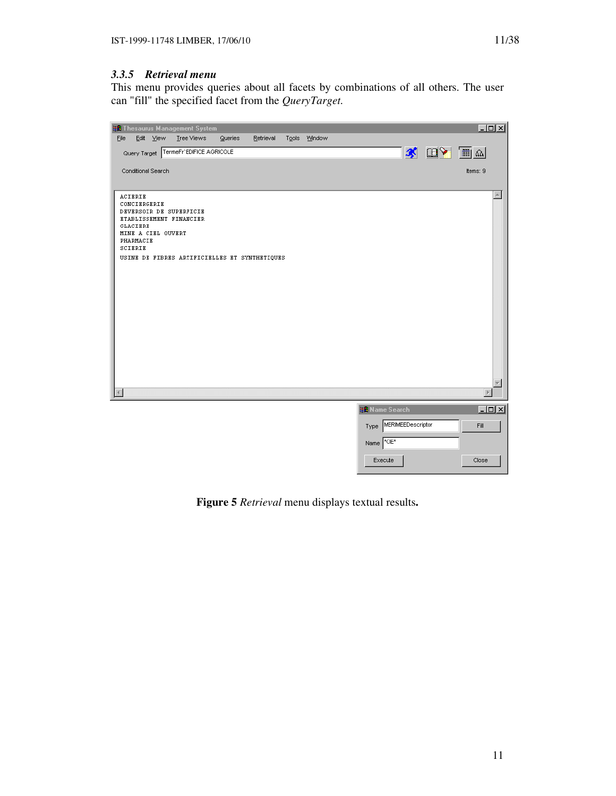This menu provides queries about all facets by combinations of all others. The user can "fill" the specified facet from the *QueryTarget.*



**Figure 5** *Retrieval* menu displays textual results**.**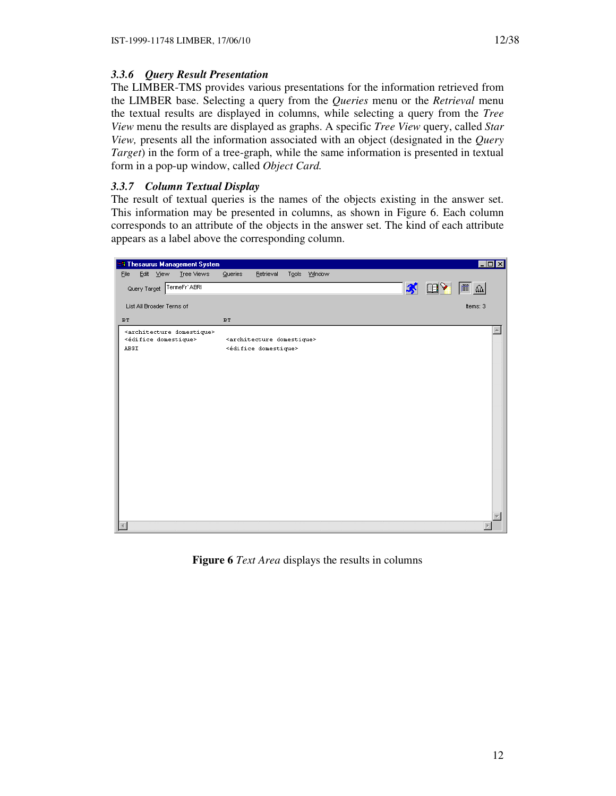# *3.3.6 Query Result Presentation*

The LIMBER-TMS provides various presentations for the information retrieved from the LIMBER base. Selecting a query from the *Queries* menu or the *Retrieval* menu the textual results are displayed in columns, while selecting a query from the *Tree View* menu the results are displayed as graphs. A specific *Tree View* query, called *Star View,* presents all the information associated with an object (designated in the *Query Target*) in the form of a tree-graph, while the same information is presented in textual form in a pop-up window, called *Object Card.* 

# *3.3.7 Column Textual Display*

The result of textual queries is the names of the objects existing in the answer set. This information may be presented in columns, as shown in Figure 6. Each column corresponds to an attribute of the objects in the answer set. The kind of each attribute appears as a label above the corresponding column.



**Figure 6** *Text Area* displays the results in columns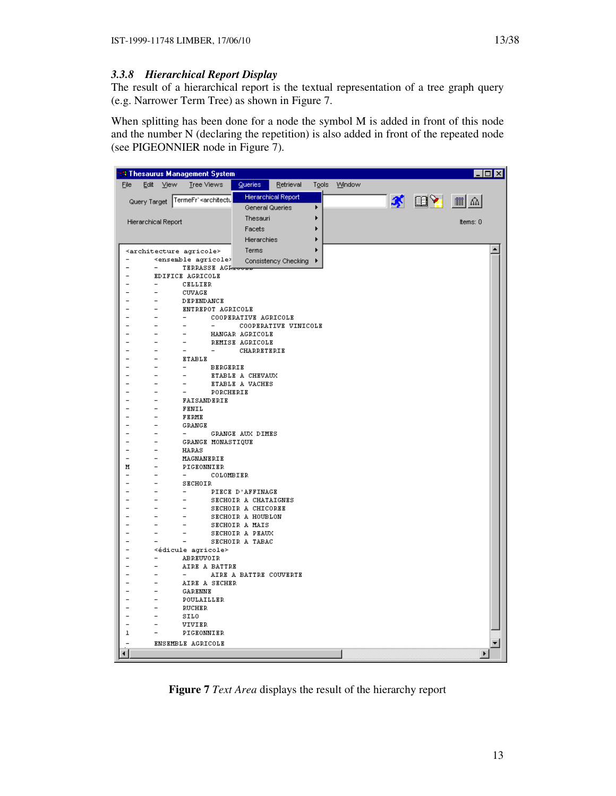# *3.3.8 Hierarchical Report Display*

The result of a hierarchical report is the textual representation of a tree graph query (e.g. Narrower Term Tree) as shown in Figure 7.

When splitting has been done for a node the symbol M is added in front of this node and the number N (declaring the repetition) is also added in front of the repeated node (see PIGEONNIER node in Figure 7).

| <b>3 Thesaurus Management System</b>                                                                                                                       |                                            |                      |   |              |                         |                       |  |
|------------------------------------------------------------------------------------------------------------------------------------------------------------|--------------------------------------------|----------------------|---|--------------|-------------------------|-----------------------|--|
| Eile<br>Edit View<br>Tree Views                                                                                                                            | <b>Queries</b>                             | Retrieval            |   | Tools Window |                         |                       |  |
| TermeFr` <architectu< td=""><td>Hierarchical Report</td><td></td><td></td><td></td><td><mark>ි∛ ⊞ γ</mark> ∏ ∆</td><td></td><td></td></architectu<>        | Hierarchical Report                        |                      |   |              | <mark>ි∛ ⊞ γ</mark> ∏ ∆ |                       |  |
| Query Target                                                                                                                                               | General Queries                            |                      | ▶ |              |                         |                       |  |
|                                                                                                                                                            | Thesauri                                   |                      |   |              |                         |                       |  |
| Hierarchical Report                                                                                                                                        | Facets                                     |                      |   |              |                         | Items: 0              |  |
|                                                                                                                                                            | Hierarchies                                |                      |   |              |                         |                       |  |
|                                                                                                                                                            |                                            |                      |   |              |                         |                       |  |
| <architecture agricole=""><br/>-<br/><ensemble agricole=""></ensemble></architecture>                                                                      | Terms                                      |                      |   |              |                         |                       |  |
| $\overline{a}$<br>$\overline{\phantom{0}}$                                                                                                                 |                                            | Consistency Checking |   |              |                         |                       |  |
| <b>EDIFICE AGRICOLE</b>                                                                                                                                    |                                            |                      |   |              |                         |                       |  |
| CELLIER<br>$\qquad \qquad -$                                                                                                                               |                                            |                      |   |              |                         |                       |  |
| $\overline{\phantom{a}}$<br>CUVAGE                                                                                                                         |                                            |                      |   |              |                         |                       |  |
| $\overline{\phantom{0}}$<br>DEPENDANCE<br>$\overline{\phantom{a}}$<br>ENTREPOT AGRICOLE                                                                    |                                            |                      |   |              |                         |                       |  |
| $\overline{\phantom{0}}$<br>$\overline{a}$                                                                                                                 | COOPERATIVE AGRICOLE                       |                      |   |              |                         |                       |  |
| $\overline{\phantom{a}}$<br>$\overline{\phantom{a}}$<br>$\sim$                                                                                             |                                            | COOPERATIVE VINICOLE |   |              |                         |                       |  |
| $\overline{\phantom{a}}$<br>$\overline{\phantom{a}}$                                                                                                       | HANGAR AGRICOLE                            |                      |   |              |                         |                       |  |
| $\overline{\phantom{a}}$<br>$\overline{\phantom{a}}$                                                                                                       | REMISE AGRICOLE                            |                      |   |              |                         |                       |  |
| $\overline{\phantom{0}}$<br>$\overline{\phantom{a}}$<br>$\overline{\phantom{a}}$                                                                           | CHARRETERIE                                |                      |   |              |                         |                       |  |
| <b>ETABLE</b><br>$\overline{\phantom{0}}$<br>$\overline{\phantom{0}}$<br>$\overline{\phantom{0}}$<br><b>BERGERIE</b>                                       |                                            |                      |   |              |                         |                       |  |
| $\overline{a}$<br>$\overline{\phantom{a}}$<br>$\overline{\phantom{0}}$                                                                                     | ETABLE A CHEVAUX                           |                      |   |              |                         |                       |  |
| $\overline{\phantom{a}}$<br>$\overline{a}$<br>$\overline{\phantom{a}}$                                                                                     | <b>ETABLE A VACHES</b>                     |                      |   |              |                         |                       |  |
| PORCHERIE<br>$\overline{\phantom{0}}$<br>$\overline{\phantom{a}}$<br>$\overline{\phantom{0}}$                                                              |                                            |                      |   |              |                         |                       |  |
| FAISANDERIE<br>$\overline{a}$<br>$\overline{\phantom{a}}$                                                                                                  |                                            |                      |   |              |                         |                       |  |
| FENIL<br>$\overline{\phantom{a}}$<br>$\overline{\phantom{a}}$<br>$\overline{\phantom{a}}$<br>FERME<br>$\overline{\phantom{0}}$                             |                                            |                      |   |              |                         |                       |  |
| <b>GRANGE</b><br>-<br>$\overline{\phantom{a}}$                                                                                                             |                                            |                      |   |              |                         |                       |  |
| $\overline{\phantom{0}}$<br>$\overline{\phantom{a}}$<br>$\sim$                                                                                             | GRANGE AUX DIMES                           |                      |   |              |                         |                       |  |
| $\overline{\phantom{0}}$<br>$\overline{\phantom{a}}$<br>GRANGE MONASTIQUE                                                                                  |                                            |                      |   |              |                         |                       |  |
| $\overline{\phantom{0}}$<br>$\overline{\phantom{a}}$<br>HARAS                                                                                              |                                            |                      |   |              |                         |                       |  |
| $\overline{\phantom{a}}$<br>MAGNANERIE                                                                                                                     |                                            |                      |   |              |                         |                       |  |
| М<br>$\qquad \qquad -$<br>PIGEONNIER<br>$\overline{\phantom{0}}$<br>$\overline{\phantom{0}}$<br>COLOMBIER                                                  |                                            |                      |   |              |                         |                       |  |
| $\qquad \qquad -$<br>SECHOIR                                                                                                                               |                                            |                      |   |              |                         |                       |  |
| $\overline{\phantom{0}}$<br>$\overline{\phantom{a}}$                                                                                                       | PIECE D'AFFINAGE                           |                      |   |              |                         |                       |  |
| $\overline{\phantom{a}}$<br>$\overline{\phantom{0}}$                                                                                                       | SECHOIR A CHATAIGNES                       |                      |   |              |                         |                       |  |
| $\overline{a}$<br>$\overline{\phantom{a}}$<br>$\overline{\phantom{0}}$                                                                                     | SECHOIR A CHICOREE                         |                      |   |              |                         |                       |  |
| $\overline{\phantom{0}}$<br>$\overline{\phantom{a}}$<br>$\overline{\phantom{0}}$<br>$\overline{\phantom{0}}$<br>$\overline{\phantom{0}}$<br>$\overline{a}$ | <b>SECHOIR A HOUBLON</b><br>SECHOIR A MAIS |                      |   |              |                         |                       |  |
| $\overline{\phantom{0}}$<br>$\overline{\phantom{a}}$<br>$\overline{\phantom{a}}$                                                                           | SECHOIR A PEAUX                            |                      |   |              |                         |                       |  |
| $\overline{\phantom{a}}$<br>$\overline{\phantom{0}}$                                                                                                       | SECHOIR A TABAC                            |                      |   |              |                         |                       |  |
| $\overline{\phantom{0}}$<br><édicule agricole>                                                                                                             |                                            |                      |   |              |                         |                       |  |
| $\overline{\phantom{a}}$<br>ABREUVOIR                                                                                                                      |                                            |                      |   |              |                         |                       |  |
| $\overline{\phantom{a}}$<br>AIRE A BATTRE<br>$\overline{\phantom{a}}$<br>$\overline{\phantom{0}}$                                                          |                                            |                      |   |              |                         |                       |  |
| $\overline{\phantom{a}}$<br>AIRE A SECHER                                                                                                                  | AIRE A BATTRE COUVERTE                     |                      |   |              |                         |                       |  |
| $\overline{\phantom{a}}$<br>GARENNE                                                                                                                        |                                            |                      |   |              |                         |                       |  |
| POULAILLER<br>$\overline{\phantom{a}}$                                                                                                                     |                                            |                      |   |              |                         |                       |  |
| $\overline{\phantom{0}}$<br>RUCHER                                                                                                                         |                                            |                      |   |              |                         |                       |  |
| $\overline{a}$<br>$\overline{\phantom{a}}$<br>SILO                                                                                                         |                                            |                      |   |              |                         |                       |  |
| $\overline{a}$<br>$\overline{\phantom{a}}$<br>VIVIER<br>$\mathbf 1$<br>PIGEONNIER<br>$\overline{\phantom{a}}$                                              |                                            |                      |   |              |                         |                       |  |
|                                                                                                                                                            |                                            |                      |   |              |                         |                       |  |
| <b>ENSEMBLE AGRICOLE</b>                                                                                                                                   |                                            |                      |   |              |                         |                       |  |
| ⊣                                                                                                                                                          |                                            |                      |   |              |                         | $\blacktriangleright$ |  |

**Figure 7** *Text Area* displays the result of the hierarchy report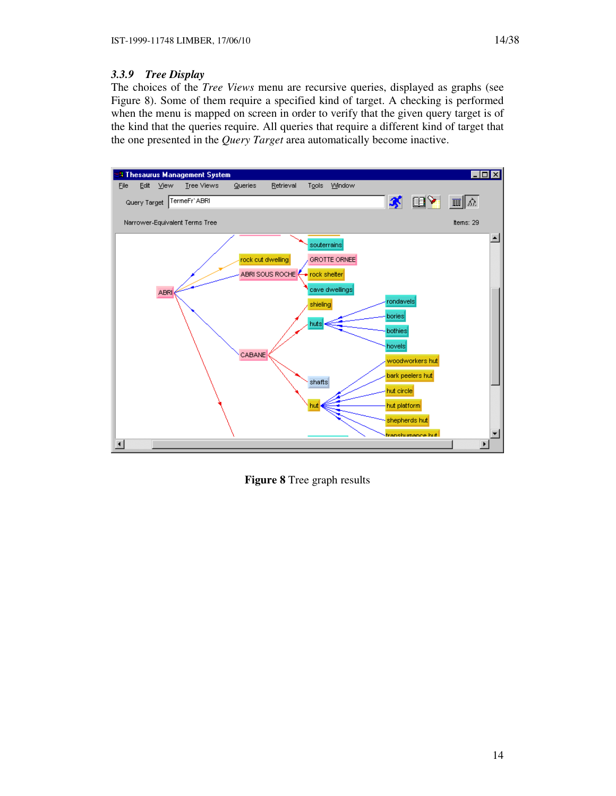# *3.3.9 Tree Display*

The choices of the *Tree Views* menu are recursive queries, displayed as graphs (see Figure 8). Some of them require a specified kind of target. A checking is performed when the menu is mapped on screen in order to verify that the given query target is of the kind that the queries require. All queries that require a different kind of target that the one presented in the *Query Target* area automatically become inactive.



**Figure 8** Tree graph results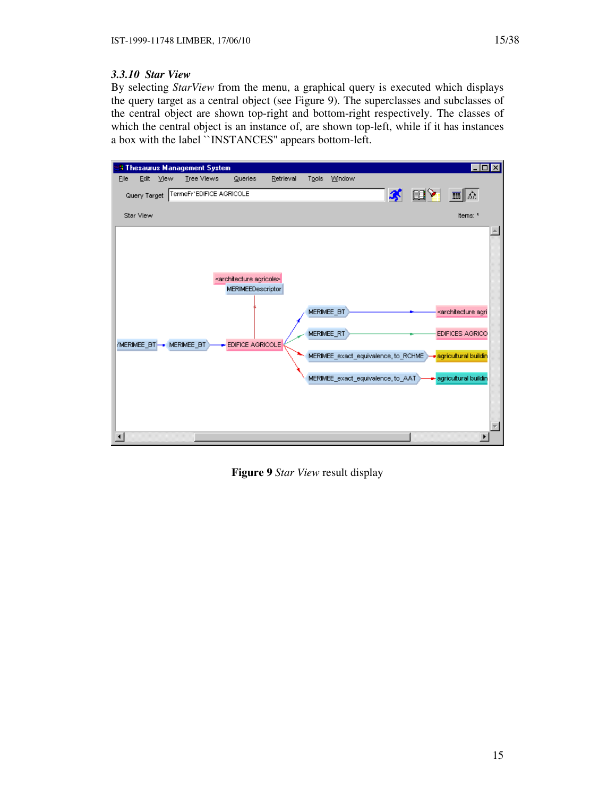## *3.3.10 Star View*

By selecting *StarView* from the menu, a graphical query is executed which displays the query target as a central object (see Figure 9). The superclasses and subclasses of the central object are shown top-right and bottom-right respectively. The classes of which the central object is an instance of, are shown top-left, while if it has instances a box with the label ``INSTANCES'' appears bottom-left.

|                |              |      | <b>8 Thesaurus Management System</b> |                                                                                             |           |       |                          |                                                                          |                | EOX                                                                                                                      |
|----------------|--------------|------|--------------------------------------|---------------------------------------------------------------------------------------------|-----------|-------|--------------------------|--------------------------------------------------------------------------|----------------|--------------------------------------------------------------------------------------------------------------------------|
| Eile           | Edit         | View | <b>Tree Views</b>                    | Queries                                                                                     | Retrieval | Tools | Window                   |                                                                          |                |                                                                                                                          |
|                | Query Target |      | TermeFr'EDIFICE AGRICOLE             |                                                                                             |           |       |                          | X                                                                        | $\mathbb{R}^2$ | 圓<br>  B.E                                                                                                               |
| Star View      |              |      |                                      |                                                                                             |           |       |                          |                                                                          |                | Items: *                                                                                                                 |
| $\blacksquare$ |              |      | /MERIMEE_BT - MERIMEE_BT             | <architecture agricole=""><br/><b>MERIMEEDescriptor</b><br/>EDIFICE AGRICOLE</architecture> |           |       | MERIMEE_BT<br>MERIMEE_RT | MERIMEE_exact_equivalence, to_RCHME<br>MERIMEE_exact_equivalence, to_AAT |                | <architecture agri<br="">EDIFICES AGRICO<br/><mark>∍</mark> agricultural buildin<br/>agricultural buildin</architecture> |

**Figure 9** *Star View* result display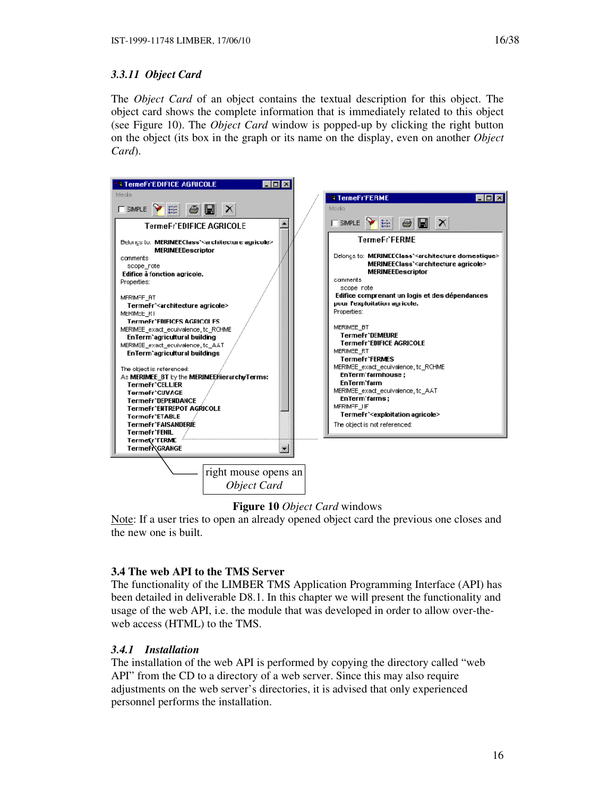# *3.3.11 Object Card*

The *Object Card* of an object contains the textual description for this object. The object card shows the complete information that is immediately related to this object (see Figure 10). The *Object Card* window is popped-up by clicking the right button on the object (its box in the graph or its name on the display, even on another *Object Card*).



## **Figure 10** *Object Card* windows

Note: If a user tries to open an already opened object card the previous one closes and the new one is built.

## **3.4 The web API to the TMS Server**

The functionality of the LIMBER TMS Application Programming Interface (API) has been detailed in deliverable D8.1. In this chapter we will present the functionality and usage of the web API, i.e. the module that was developed in order to allow over-theweb access (HTML) to the TMS.

## *3.4.1 Installation*

The installation of the web API is performed by copying the directory called "web API" from the CD to a directory of a web server. Since this may also require adjustments on the web server's directories, it is advised that only experienced personnel performs the installation.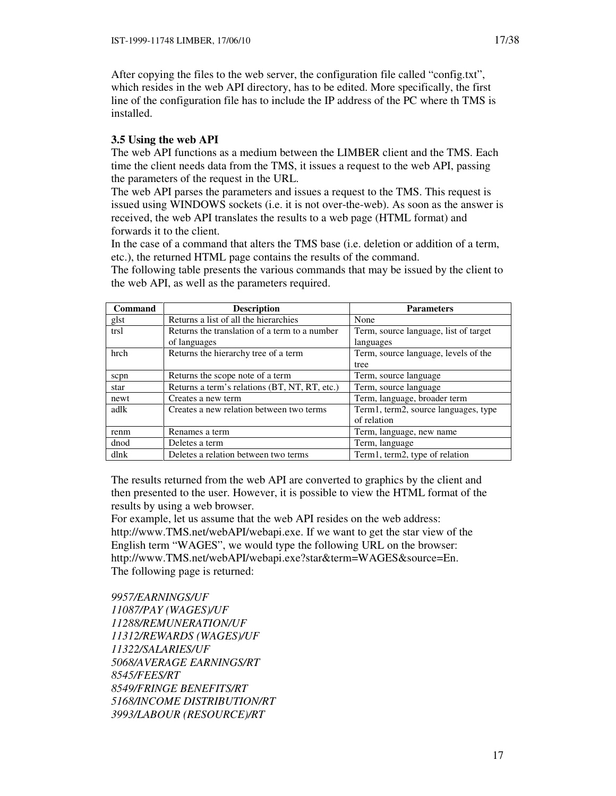After copying the files to the web server, the configuration file called "config.txt", which resides in the web API directory, has to be edited. More specifically, the first line of the configuration file has to include the IP address of the PC where th TMS is installed.

# **3.5 Using the web API**

The web API functions as a medium between the LIMBER client and the TMS. Each time the client needs data from the TMS, it issues a request to the web API, passing the parameters of the request in the URL.

The web API parses the parameters and issues a request to the TMS. This request is issued using WINDOWS sockets (i.e. it is not over-the-web). As soon as the answer is received, the web API translates the results to a web page (HTML format) and forwards it to the client.

In the case of a command that alters the TMS base (i.e. deletion or addition of a term, etc.), the returned HTML page contains the results of the command.

| <b>Command</b> | <b>Description</b>                            | <b>Parameters</b>                     |
|----------------|-----------------------------------------------|---------------------------------------|
| glst           | Returns a list of all the hierarchies         | None                                  |
| trsl           | Returns the translation of a term to a number | Term, source language, list of target |
|                | of languages                                  | languages                             |
| hrch           | Returns the hierarchy tree of a term          | Term, source language, levels of the  |
|                |                                               | tree                                  |
| scpn           | Returns the scope note of a term              | Term, source language                 |
| star           | Returns a term's relations (BT, NT, RT, etc.) | Term, source language                 |
| newt           | Creates a new term                            | Term, language, broader term          |
| adlk           | Creates a new relation between two terms      | Term1, term2, source languages, type  |
|                |                                               | of relation                           |
| renm           | Renames a term                                | Term, language, new name              |
| dnod           | Deletes a term                                | Term, language                        |
| dlnk           | Deletes a relation between two terms          | Term1, term2, type of relation        |

The following table presents the various commands that may be issued by the client to the web API, as well as the parameters required.

The results returned from the web API are converted to graphics by the client and then presented to the user. However, it is possible to view the HTML format of the results by using a web browser.

For example, let us assume that the web API resides on the web address: http://www.TMS.net/webAPI/webapi.exe. If we want to get the star view of the English term "WAGES", we would type the following URL on the browser: http://www.TMS.net/webAPI/webapi.exe?star&term=WAGES&source=En. The following page is returned:

*9957/EARNINGS/UF 11087/PAY (WAGES)/UF 11288/REMUNERATION/UF 11312/REWARDS (WAGES)/UF 11322/SALARIES/UF 5068/AVERAGE EARNINGS/RT 8545/FEES/RT 8549/FRINGE BENEFITS/RT 5168/INCOME DISTRIBUTION/RT 3993/LABOUR (RESOURCE)/RT*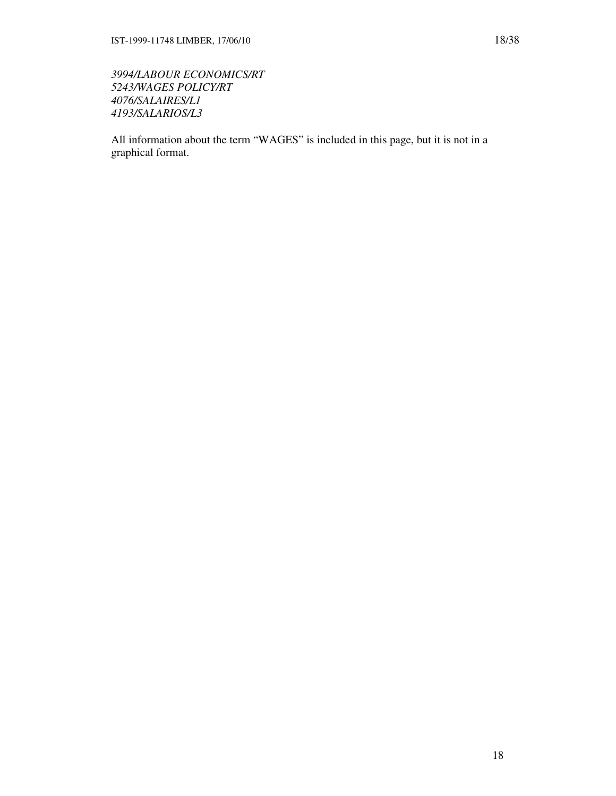*3994/LABOUR ECONOMICS/RT 5243/WAGES POLICY/RT 4076/SALAIRES/L1 4193/SALARIOS/L3* 

All information about the term "WAGES" is included in this page, but it is not in a graphical format.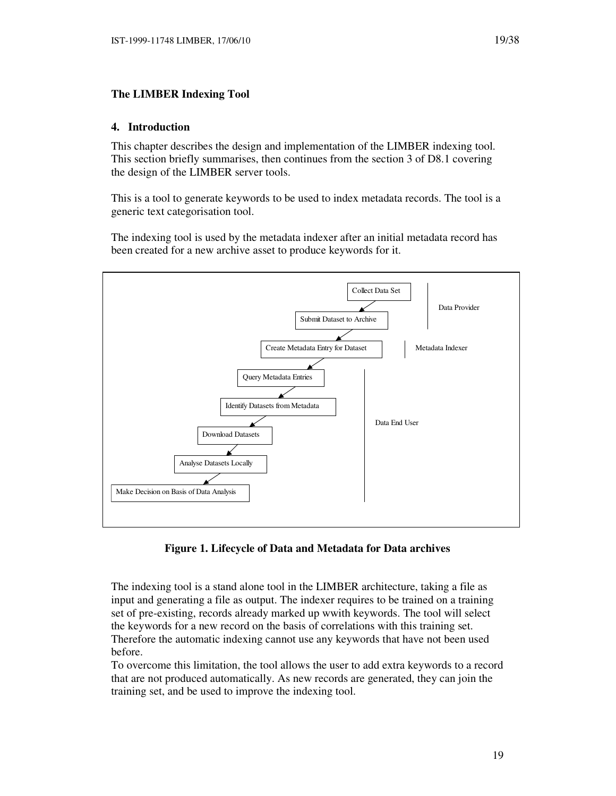## **The LIMBER Indexing Tool**

### **4. Introduction**

This chapter describes the design and implementation of the LIMBER indexing tool. This section briefly summarises, then continues from the section 3 of D8.1 covering the design of the LIMBER server tools.

This is a tool to generate keywords to be used to index metadata records. The tool is a generic text categorisation tool.

The indexing tool is used by the metadata indexer after an initial metadata record has been created for a new archive asset to produce keywords for it.



**Figure 1. Lifecycle of Data and Metadata for Data archives** 

The indexing tool is a stand alone tool in the LIMBER architecture, taking a file as input and generating a file as output. The indexer requires to be trained on a training set of pre-existing, records already marked up wwith keywords. The tool will select the keywords for a new record on the basis of correlations with this training set. Therefore the automatic indexing cannot use any keywords that have not been used before.

To overcome this limitation, the tool allows the user to add extra keywords to a record that are not produced automatically. As new records are generated, they can join the training set, and be used to improve the indexing tool.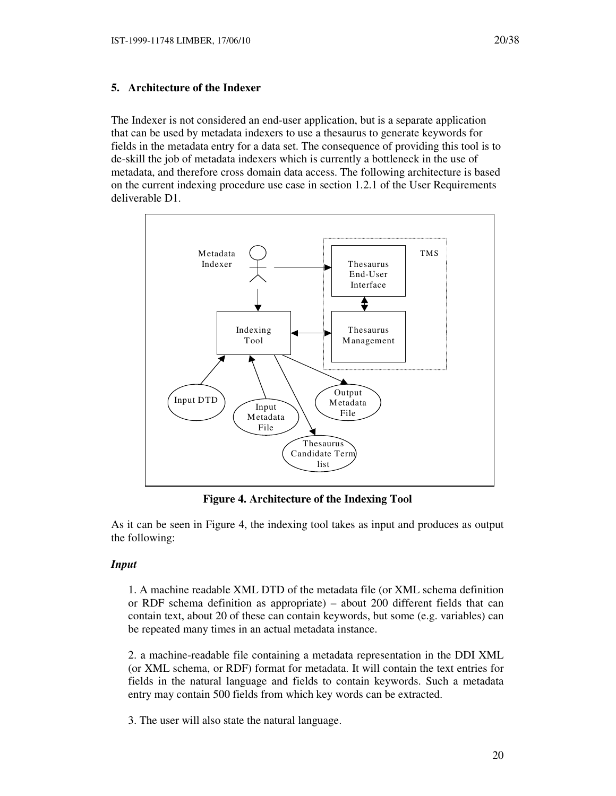## **5. Architecture of the Indexer**

The Indexer is not considered an end-user application, but is a separate application that can be used by metadata indexers to use a thesaurus to generate keywords for fields in the metadata entry for a data set. The consequence of providing this tool is to de-skill the job of metadata indexers which is currently a bottleneck in the use of metadata, and therefore cross domain data access. The following architecture is based on the current indexing procedure use case in section 1.2.1 of the User Requirements deliverable D1.



**Figure 4. Architecture of the Indexing Tool** 

As it can be seen in Figure 4, the indexing tool takes as input and produces as output the following:

### *Input*

1. A machine readable XML DTD of the metadata file (or XML schema definition or RDF schema definition as appropriate) – about 200 different fields that can contain text, about 20 of these can contain keywords, but some (e.g. variables) can be repeated many times in an actual metadata instance.

2. a machine-readable file containing a metadata representation in the DDI XML (or XML schema, or RDF) format for metadata. It will contain the text entries for fields in the natural language and fields to contain keywords. Such a metadata entry may contain 500 fields from which key words can be extracted.

3. The user will also state the natural language.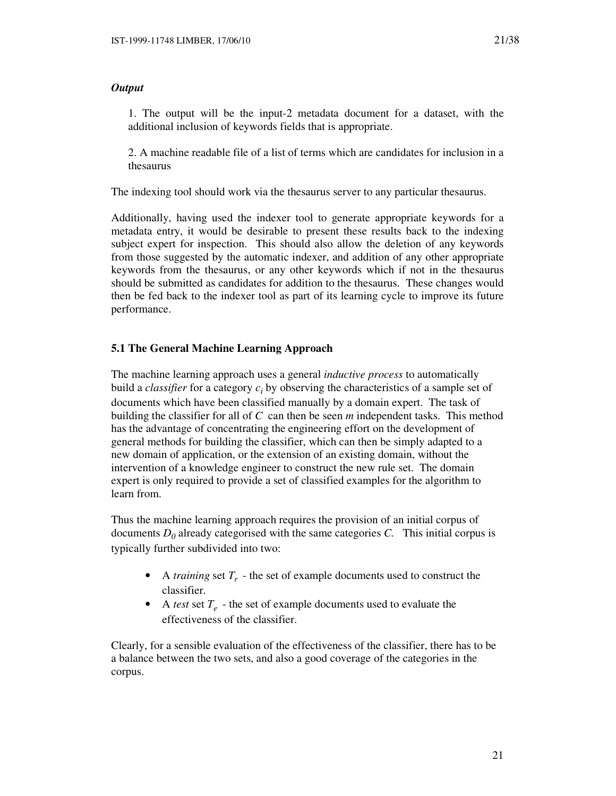# *Output*

1. The output will be the input-2 metadata document for a dataset, with the additional inclusion of keywords fields that is appropriate.

2. A machine readable file of a list of terms which are candidates for inclusion in a thesaurus

The indexing tool should work via the thesaurus server to any particular thesaurus.

Additionally, having used the indexer tool to generate appropriate keywords for a metadata entry, it would be desirable to present these results back to the indexing subject expert for inspection. This should also allow the deletion of any keywords from those suggested by the automatic indexer, and addition of any other appropriate keywords from the thesaurus, or any other keywords which if not in the thesaurus should be submitted as candidates for addition to the thesaurus. These changes would then be fed back to the indexer tool as part of its learning cycle to improve its future performance.

# **5.1 The General Machine Learning Approach**

The machine learning approach uses a general *inductive process* to automatically build a *classifier* for a category *c<sup>i</sup>* by observing the characteristics of a sample set of documents which have been classified manually by a domain expert. The task of building the classifier for all of *C* can then be seen *m* independent tasks. This method has the advantage of concentrating the engineering effort on the development of general methods for building the classifier, which can then be simply adapted to a new domain of application, or the extension of an existing domain, without the intervention of a knowledge engineer to construct the new rule set. The domain expert is only required to provide a set of classified examples for the algorithm to learn from.

Thus the machine learning approach requires the provision of an initial corpus of documents *D<sup>0</sup>* already categorised with the same categories *C.* This initial corpus is typically further subdivided into two:

- A *training* set  $T_r$  the set of example documents used to construct the classifier.
- A *test* set  $T_e$  the set of example documents used to evaluate the effectiveness of the classifier.

Clearly, for a sensible evaluation of the effectiveness of the classifier, there has to be a balance between the two sets, and also a good coverage of the categories in the corpus.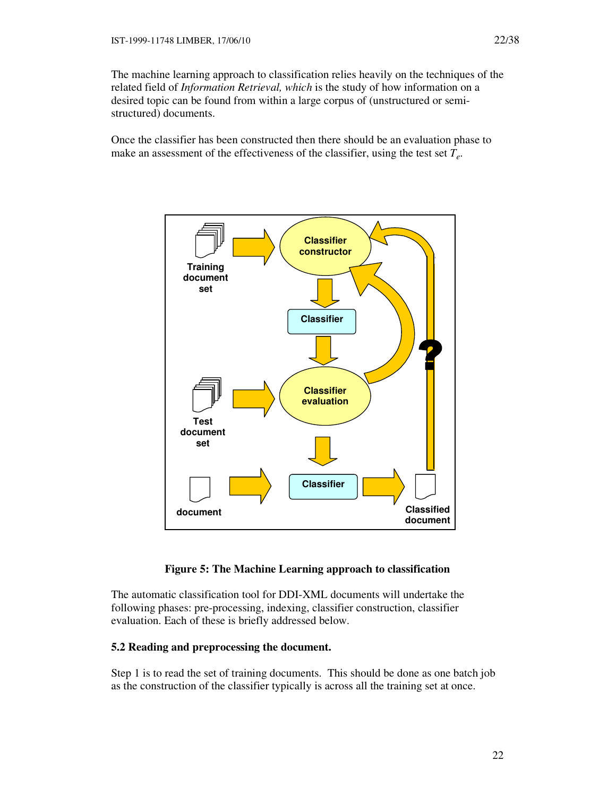The machine learning approach to classification relies heavily on the techniques of the related field of *Information Retrieval, which* is the study of how information on a desired topic can be found from within a large corpus of (unstructured or semistructured) documents.

Once the classifier has been constructed then there should be an evaluation phase to make an assessment of the effectiveness of the classifier, using the test set *T<sup>e</sup>* .



### **Figure 5: The Machine Learning approach to classification**

The automatic classification tool for DDI-XML documents will undertake the following phases: pre-processing, indexing, classifier construction, classifier evaluation. Each of these is briefly addressed below.

#### **5.2 Reading and preprocessing the document.**

Step 1 is to read the set of training documents. This should be done as one batch job as the construction of the classifier typically is across all the training set at once.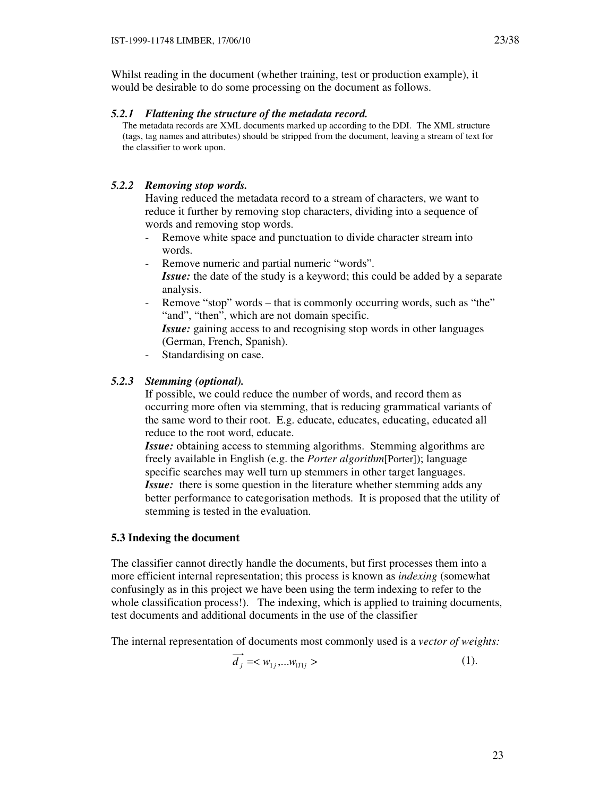Whilst reading in the document (whether training, test or production example), it would be desirable to do some processing on the document as follows.

#### *5.2.1 Flattening the structure of the metadata record.*

The metadata records are XML documents marked up according to the DDI. The XML structure (tags, tag names and attributes) should be stripped from the document, leaving a stream of text for the classifier to work upon.

### *5.2.2 Removing stop words.*

Having reduced the metadata record to a stream of characters, we want to reduce it further by removing stop characters, dividing into a sequence of words and removing stop words.

- Remove white space and punctuation to divide character stream into words.
- Remove numeric and partial numeric "words". *Issue:* the date of the study is a keyword; this could be added by a separate analysis.
- Remove "stop" words that is commonly occurring words, such as "the" "and", "then", which are not domain specific.
	- *Issue:* gaining access to and recognising stop words in other languages (German, French, Spanish).
- Standardising on case.

### *5.2.3 Stemming (optional).*

If possible, we could reduce the number of words, and record them as occurring more often via stemming, that is reducing grammatical variants of the same word to their root. E.g. educate, educates, educating, educated all reduce to the root word, educate.

*Issue:* obtaining access to stemming algorithms. Stemming algorithms are freely available in English (e.g. the *Porter algorithm*[Porter]); language specific searches may well turn up stemmers in other target languages. *Issue:* there is some question in the literature whether stemming adds any better performance to categorisation methods. It is proposed that the utility of stemming is tested in the evaluation.

### **5.3 Indexing the document**

The classifier cannot directly handle the documents, but first processes them into a more efficient internal representation; this process is known as *indexing* (somewhat confusingly as in this project we have been using the term indexing to refer to the whole classification process!). The indexing, which is applied to training documents, test documents and additional documents in the use of the classifier

The internal representation of documents most commonly used is a *vector of weights:*

$$
\overrightarrow{d_j} = \langle w_{1j}, \dots w_{|\overline{I}|j} \rangle \tag{1}
$$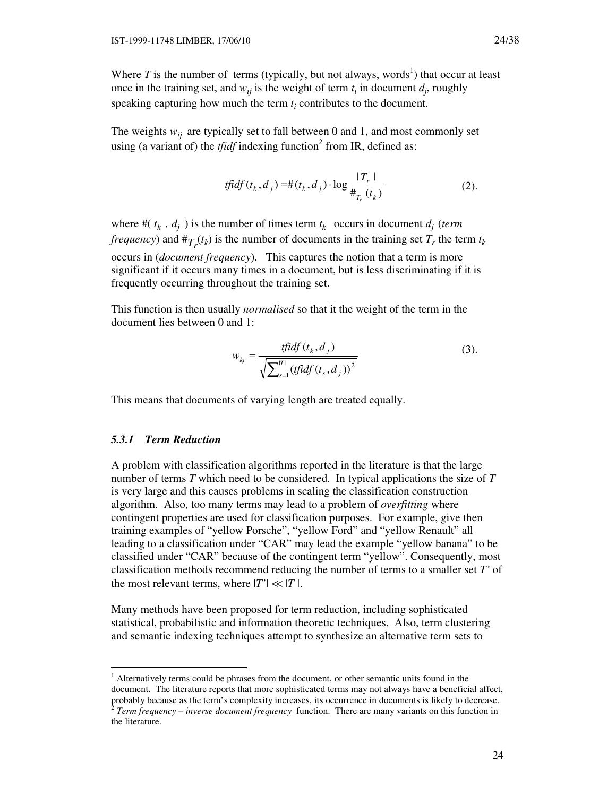Where  $T$  is the number of terms (typically, but not always, words<sup>1</sup>) that occur at least once in the training set, and  $w_{ij}$  is the weight of term  $t_i$  in document  $d_j$ , roughly speaking capturing how much the term  $t_i$  contributes to the document.

The weights  $w_{ij}$  are typically set to fall between 0 and 1, and most commonly set using (a variant of) the *tfidf* indexing function<sup>2</sup> from IR, defined as:

$$
tfidf(t_k, d_j) = \#(t_k, d_j) \cdot \log \frac{|T_r|}{\#_{T_r}(t_k)}
$$
\n(2).

where  $\#(t_k, d_j)$  is the number of times term  $t_k$  occurs in document  $d_i$  (*term frequency*) and  $#_{T_r}(t_k)$  is the number of documents in the training set  $T_r$  the term  $t_k$ occurs in (*document frequency*). This captures the notion that a term is more significant if it occurs many times in a document, but is less discriminating if it is frequently occurring throughout the training set.

This function is then usually *normalised* so that it the weight of the term in the document lies between 0 and 1:

$$
w_{kj} = \frac{tfidf(t_k, d_j)}{\sqrt{\sum_{s=1}^{|T|} (tfidf(t_s, d_j))^2}}
$$
(3).

This means that documents of varying length are treated equally.

### *5.3.1 Term Reduction*

-

A problem with classification algorithms reported in the literature is that the large number of terms *T* which need to be considered. In typical applications the size of *T* is very large and this causes problems in scaling the classification construction algorithm. Also, too many terms may lead to a problem of *overfitting* where contingent properties are used for classification purposes. For example, give then training examples of "yellow Porsche", "yellow Ford" and "yellow Renault" all leading to a classification under "CAR" may lead the example "yellow banana" to be classified under "CAR" because of the contingent term "yellow". Consequently, most classification methods recommend reducing the number of terms to a smaller set *T'* of the most relevant terms, where  $|T'| \ll |T|$ .

Many methods have been proposed for term reduction, including sophisticated statistical, probabilistic and information theoretic techniques. Also, term clustering and semantic indexing techniques attempt to synthesize an alternative term sets to

<sup>&</sup>lt;sup>1</sup> Alternatively terms could be phrases from the document, or other semantic units found in the document. The literature reports that more sophisticated terms may not always have a beneficial affect, probably because as the term's complexity increases, its occurrence in documents is likely to decrease.<br><sup>2</sup> Term fractuatory, inverse document fractuatory function. There are many variants on this function in *Term frequency – inverse document frequency* function. There are many variants on this function in the literature.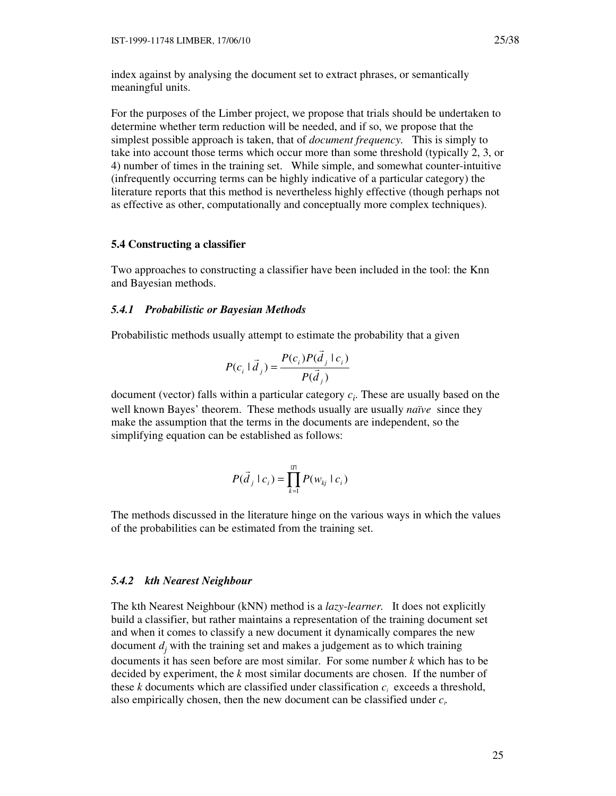index against by analysing the document set to extract phrases, or semantically meaningful units.

For the purposes of the Limber project, we propose that trials should be undertaken to determine whether term reduction will be needed, and if so, we propose that the simplest possible approach is taken, that of *document frequency.* This is simply to take into account those terms which occur more than some threshold (typically 2, 3, or 4) number of times in the training set. While simple, and somewhat counter-intuitive (infrequently occurring terms can be highly indicative of a particular category) the literature reports that this method is nevertheless highly effective (though perhaps not as effective as other, computationally and conceptually more complex techniques).

#### **5.4 Constructing a classifier**

Two approaches to constructing a classifier have been included in the tool: the Knn and Bayesian methods.

### *5.4.1 Probabilistic or Bayesian Methods*

Probabilistic methods usually attempt to estimate the probability that a given

$$
P(c_i | \vec{d}_j) = \frac{P(c_i)P(\vec{d}_j | c_i)}{P(\vec{d}_j)}
$$

document (vector) falls within a particular category *c<sup>i</sup>* . These are usually based on the well known Bayes' theorem. These methods usually are usually *naïve* since they make the assumption that the terms in the documents are independent, so the simplifying equation can be established as follows:

 $\rightarrow$ 

$$
P(\vec{d}_j \mid c_i) = \prod_{k=1}^{\vert T \vert} P(w_{kj} \mid c_i)
$$

The methods discussed in the literature hinge on the various ways in which the values of the probabilities can be estimated from the training set.

#### *5.4.2 kth Nearest Neighbour*

The kth Nearest Neighbour (kNN) method is a *lazy*-*learner.* It does not explicitly build a classifier, but rather maintains a representation of the training document set and when it comes to classify a new document it dynamically compares the new document  $d_j$  with the training set and makes a judgement as to which training documents it has seen before are most similar. For some number *k* which has to be decided by experiment, the *k* most similar documents are chosen. If the number of these  $k$  documents which are classified under classification  $c_i$  exceeds a threshold, also empirically chosen, then the new document can be classified under *c<sup>i</sup> .*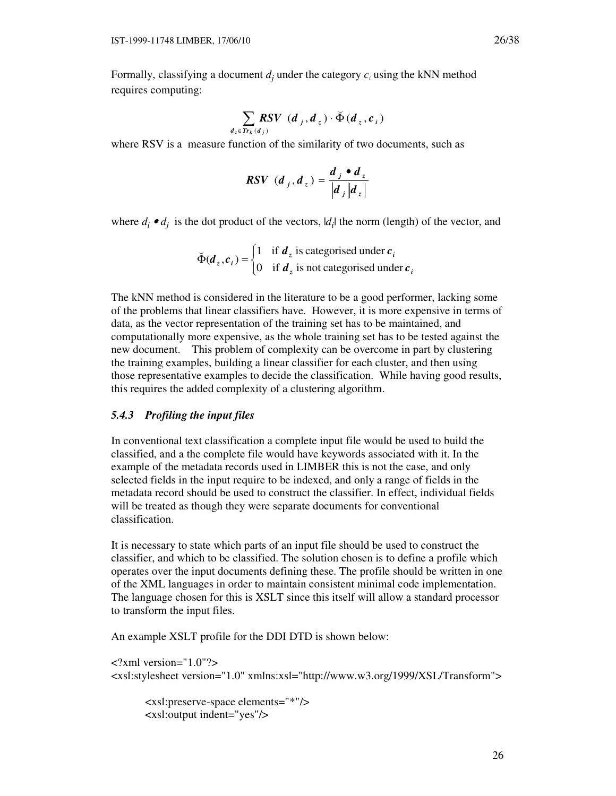Formally, classifying a document  $d_j$  under the category  $c_i$  using the kNN method requires computing:

$$
\sum_{d_z \in Tr_k(d_j)} RSV(d_j, d_z) \cdot \breve{\Phi}(d_z, c_i)
$$

where RSV is a measure function of the similarity of two documents, such as

$$
RSV\ (d_j, d_z) = \frac{d_j \bullet d_z}{\left| d_j \right| \left| d_z \right|}
$$

where  $d_i \cdot d_j$  is the dot product of the vectors,  $|d_i|$  the norm (length) of the vector, and

$$
\breve{\Phi}(\boldsymbol{d}_z, \boldsymbol{c}_i) = \begin{cases} 1 & \text{if } \boldsymbol{d}_z \text{ is categorized under } \boldsymbol{c}_i \\ 0 & \text{if } \boldsymbol{d}_z \text{ is not categorized under } \boldsymbol{c}_i \end{cases}
$$

The kNN method is considered in the literature to be a good performer, lacking some of the problems that linear classifiers have. However, it is more expensive in terms of data, as the vector representation of the training set has to be maintained, and computationally more expensive, as the whole training set has to be tested against the new document. This problem of complexity can be overcome in part by clustering the training examples, building a linear classifier for each cluster, and then using those representative examples to decide the classification. While having good results, this requires the added complexity of a clustering algorithm.

#### *5.4.3 Profiling the input files*

In conventional text classification a complete input file would be used to build the classified, and a the complete file would have keywords associated with it. In the example of the metadata records used in LIMBER this is not the case, and only selected fields in the input require to be indexed, and only a range of fields in the metadata record should be used to construct the classifier. In effect, individual fields will be treated as though they were separate documents for conventional classification.

It is necessary to state which parts of an input file should be used to construct the classifier, and which to be classified. The solution chosen is to define a profile which operates over the input documents defining these. The profile should be written in one of the XML languages in order to maintain consistent minimal code implementation. The language chosen for this is XSLT since this itself will allow a standard processor to transform the input files.

An example XSLT profile for the DDI DTD is shown below:

<?xml version="1.0"?> <xsl:stylesheet version="1.0" xmlns:xsl="http://www.w3.org/1999/XSL/Transform">

 <xsl:preserve-space elements="\*"/> <xsl:output indent="yes"/>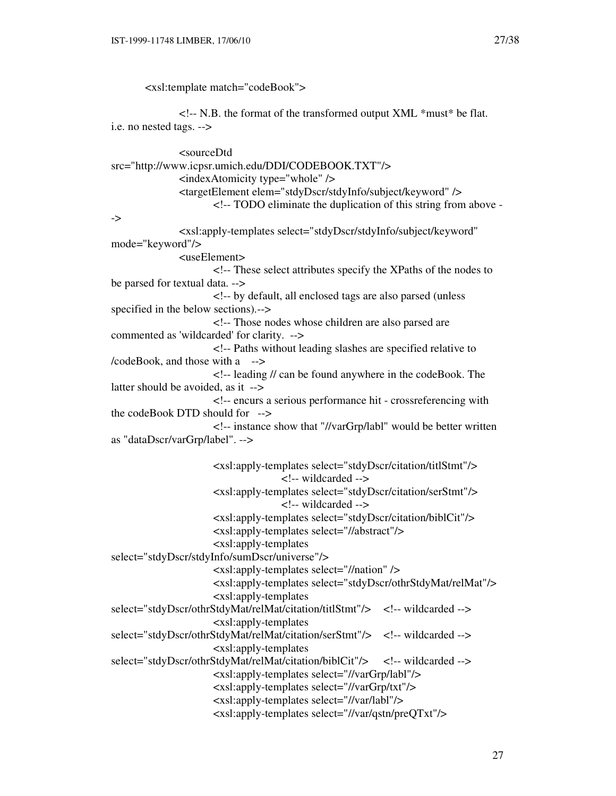<xsl:template match="codeBook">

 $\langle$  - N.B. the format of the transformed output XML  $*$ must $*$  be flat. i.e. no nested tags. -->

 <sourceDtd src="http://www.icpsr.umich.edu/DDI/CODEBOOK.TXT"/>  $\langle$ indexAtomicity type="whole"  $\rangle$ > <targetElement elem="stdyDscr/stdyInfo/subject/keyword" /> <!-- TODO eliminate the duplication of this string from above - -> <xsl:apply-templates select="stdyDscr/stdyInfo/subject/keyword" mode="keyword"/> <useElement> <!-- These select attributes specify the XPaths of the nodes to be parsed for textual data. --> <!-- by default, all enclosed tags are also parsed (unless specified in the below sections).--> <!-- Those nodes whose children are also parsed are commented as 'wildcarded' for clarity. --> <!-- Paths without leading slashes are specified relative to /codeBook, and those with a --> <!-- leading // can be found anywhere in the codeBook. The latter should be avoided, as it --> <!-- encurs a serious performance hit - crossreferencing with the codeBook DTD should for --> <!-- instance show that "//varGrp/labl" would be better written as "dataDscr/varGrp/label". --> <xsl:apply-templates select="stdyDscr/citation/titlStmt"/> <!-- wildcarded --> <xsl:apply-templates select="stdyDscr/citation/serStmt"/> <!-- wildcarded --> <xsl:apply-templates select="stdyDscr/citation/biblCit"/> <xsl:apply-templates select="//abstract"/> <xsl:apply-templates select="stdyDscr/stdyInfo/sumDscr/universe"/> <xsl:apply-templates select="//nation" /> <xsl:apply-templates select="stdyDscr/othrStdyMat/relMat"/> <xsl:apply-templates select="stdyDscr/othrStdyMat/relMat/citation/titlStmt"/> <!-- wildcarded --> <xsl:apply-templates select="stdyDscr/othrStdyMat/relMat/citation/serStmt"/> <!-- wildcarded --> <xsl:apply-templates select="stdyDscr/othrStdyMat/relMat/citation/biblCit"/> <!-- wildcarded --> <xsl:apply-templates select="//varGrp/labl"/> <xsl:apply-templates select="//varGrp/txt"/> <xsl:apply-templates select="//var/labl"/> <xsl:apply-templates select="//var/qstn/preQTxt"/>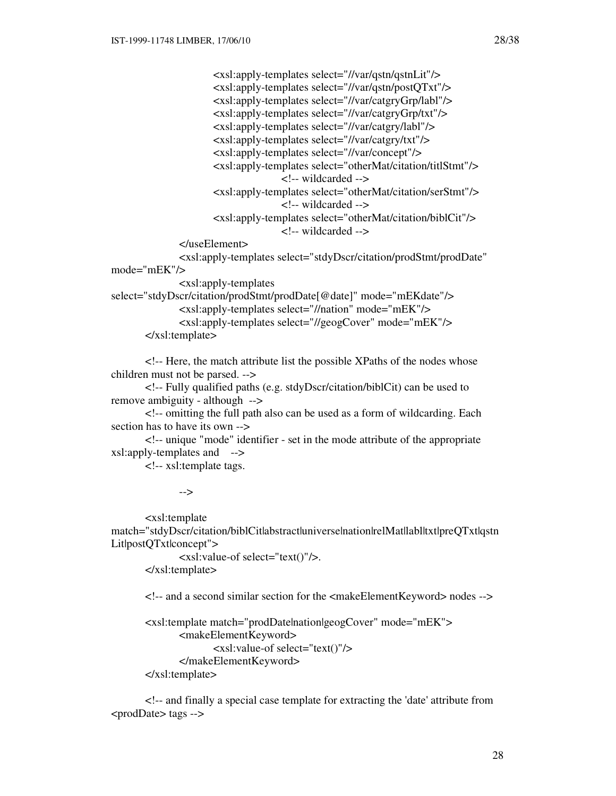<xsl:apply-templates select="//var/qstn/qstnLit"/> <xsl:apply-templates select="//var/qstn/postQTxt"/> <xsl:apply-templates select="//var/catgryGrp/labl"/> <xsl:apply-templates select="//var/catgryGrp/txt"/> <xsl:apply-templates select="//var/catgry/labl"/> <xsl:apply-templates select="//var/catgry/txt"/> <xsl:apply-templates select="//var/concept"/> <xsl:apply-templates select="otherMat/citation/titlStmt"/> <!-- wildcarded --> <xsl:apply-templates select="otherMat/citation/serStmt"/> <!-- wildcarded --> <xsl:apply-templates select="otherMat/citation/biblCit"/> <!-- wildcarded --> </useElement> <xsl:apply-templates select="stdyDscr/citation/prodStmt/prodDate"

mode="mEK"/>

<xsl:apply-templates

```
select="stdyDscr/citation/prodStmt/prodDate[@date]" mode="mEKdate"/> 
             <xsl:apply-templates select="//nation" mode="mEK"/> 
             <xsl:apply-templates select="//geogCover" mode="mEK"/>
```

```
 </xsl:template>
```
 <!-- Here, the match attribute list the possible XPaths of the nodes whose children must not be parsed. -->

 <!-- Fully qualified paths (e.g. stdyDscr/citation/biblCit) can be used to remove ambiguity - although -->

 <!-- omitting the full path also can be used as a form of wildcarding. Each section has to have its own -->

 <!-- unique "mode" identifier - set in the mode attribute of the appropriate xsl:apply-templates and -->

<!-- xsl:template tags.

-->

 <xsl:template match="stdyDscr/citation/biblCitlabstractluniverselnationlrelMatllablltxtlpreQTxtlqstn Lit|postQTxt|concept">

 <xsl:value-of select="text()"/>. </xsl:template>

<!-- and a second similar section for the <makeElementKeyword> nodes -->

```
 <xsl:template match="prodDate|nation|geogCover" mode="mEK"> 
      <makeElementKeyword> 
              <xsl:value-of select="text()"/> 
      </makeElementKeyword> 
</xsl:template>
```
 <!-- and finally a special case template for extracting the 'date' attribute from <prodDate> tags -->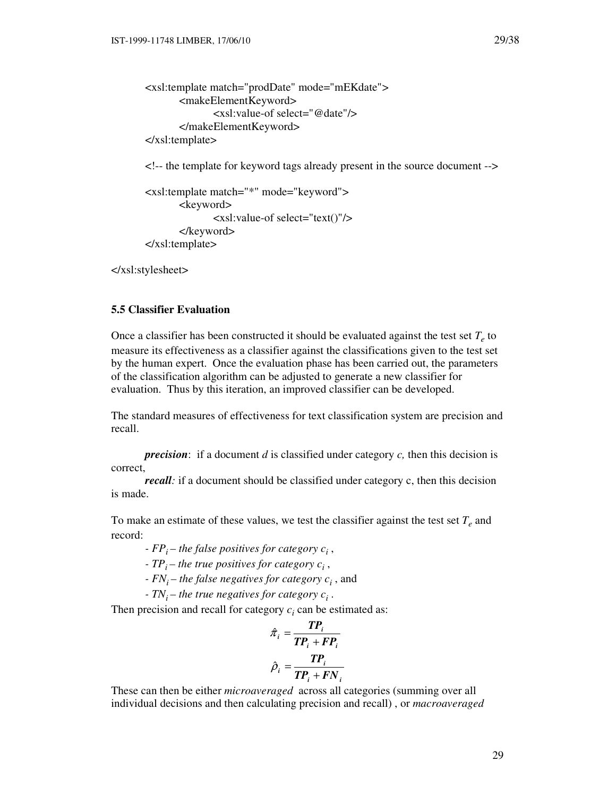```
 <xsl:template match="prodDate" mode="mEKdate"> 
      <makeElementKeyword> 
              <xsl:value-of select="@date"/> 
       </makeElementKeyword> 
</xsl:template>
```
<!-- the template for keyword tags already present in the source document -->

```
 <xsl:template match="*" mode="keyword"> 
       <keyword> 
               <xsl:value-of select="text()"/> 
       </keyword> 
</xsl:template>
```
</xsl:stylesheet>

# **5.5 Classifier Evaluation**

Once a classifier has been constructed it should be evaluated against the test set  $T_e$  to measure its effectiveness as a classifier against the classifications given to the test set by the human expert. Once the evaluation phase has been carried out, the parameters of the classification algorithm can be adjusted to generate a new classifier for evaluation. Thus by this iteration, an improved classifier can be developed.

The standard measures of effectiveness for text classification system are precision and recall.

*precision*: if a document *d* is classified under category *c,* then this decision is correct,

*recall:* if a document should be classified under category c, then this decision is made.

To make an estimate of these values, we test the classifier against the test set  $T_e$  and record:

*- FPi – the false positives for category c<sup>i</sup>* ,

- *TPi the true positives for category c<sup>i</sup>* ,
- *FNi the false negatives for category c<sup>i</sup>* , and
- *TN*<sup> $i$ </sup> the true negatives for category  $c_i$ .

Then precision and recall for category  $c_i$  can be estimated as:

$$
\hat{\pi}_i = \frac{TP_i}{TP_i + FP_i}
$$
\n
$$
\hat{\rho}_i = \frac{TP_i}{TP_i + FN_i}
$$

ˆThese can then be either *microaveraged* across all categories (summing over all individual decisions and then calculating precision and recall) , or *macroaveraged*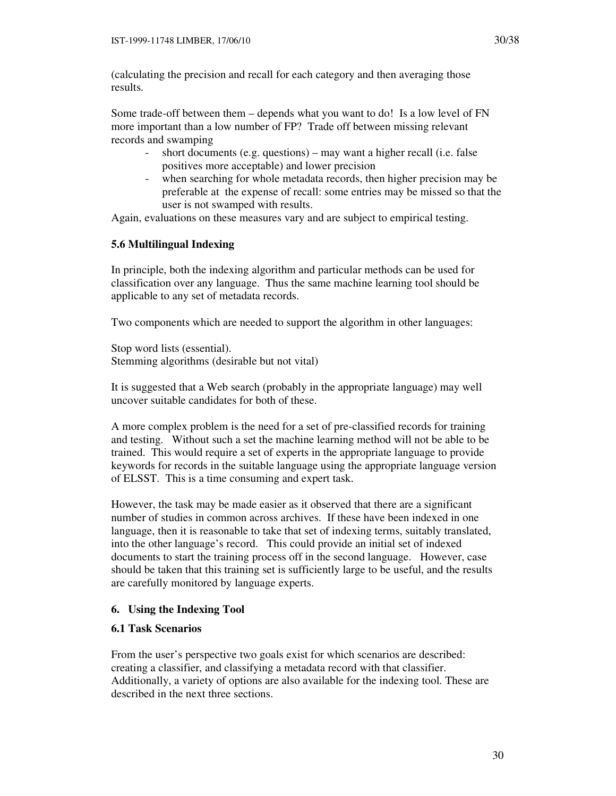(calculating the precision and recall for each category and then averaging those results.

Some trade-off between them – depends what you want to do! Is a low level of FN more important than a low number of FP? Trade off between missing relevant records and swamping

- short documents (e.g. questions) may want a higher recall (i.e. false positives more acceptable) and lower precision
- when searching for whole metadata records, then higher precision may be preferable at the expense of recall: some entries may be missed so that the user is not swamped with results.

Again, evaluations on these measures vary and are subject to empirical testing.

## **5.6 Multilingual Indexing**

In principle, both the indexing algorithm and particular methods can be used for classification over any language. Thus the same machine learning tool should be applicable to any set of metadata records.

Two components which are needed to support the algorithm in other languages:

Stop word lists (essential). Stemming algorithms (desirable but not vital)

It is suggested that a Web search (probably in the appropriate language) may well uncover suitable candidates for both of these.

A more complex problem is the need for a set of pre-classified records for training and testing. Without such a set the machine learning method will not be able to be trained. This would require a set of experts in the appropriate language to provide keywords for records in the suitable language using the appropriate language version of ELSST. This is a time consuming and expert task.

However, the task may be made easier as it observed that there are a significant number of studies in common across archives. If these have been indexed in one language, then it is reasonable to take that set of indexing terms, suitably translated, into the other language's record. This could provide an initial set of indexed documents to start the training process off in the second language. However, case should be taken that this training set is sufficiently large to be useful, and the results are carefully monitored by language experts.

## **6. Using the Indexing Tool**

### **6.1 Task Scenarios**

From the user's perspective two goals exist for which scenarios are described: creating a classifier, and classifying a metadata record with that classifier. Additionally, a variety of options are also available for the indexing tool. These are described in the next three sections.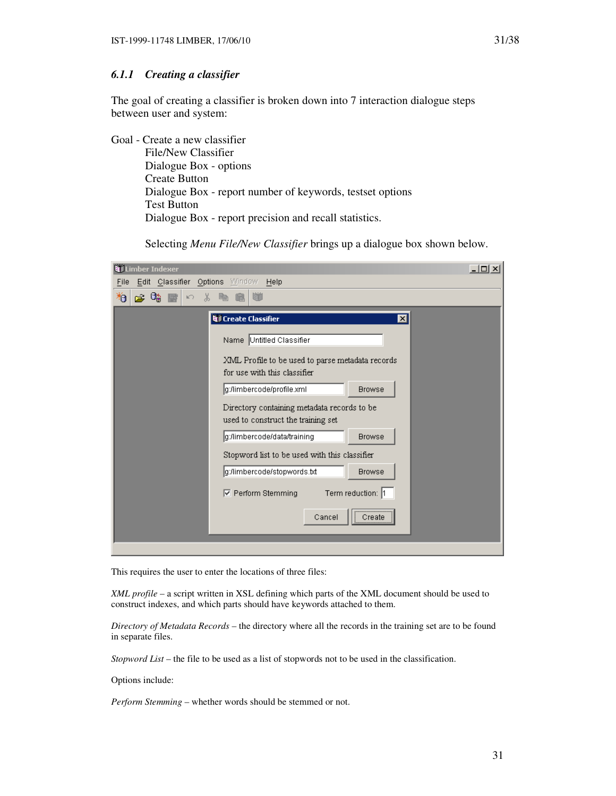### *6.1.1 Creating a classifier*

The goal of creating a classifier is broken down into 7 interaction dialogue steps between user and system:

Goal - Create a new classifier File/New Classifier Dialogue Box - options Create Button Dialogue Box - report number of keywords, testset options Test Button Dialogue Box - report precision and recall statistics.

Selecting *Menu File/New Classifier* brings up a dialogue box shown below.

| $   \times$ $-$<br>Limber Indexer                                                 |  |
|-----------------------------------------------------------------------------------|--|
| Edit Classifier Options Window Help<br>File                                       |  |
| 粕<br>p 04<br>볾<br>喘<br>Ġ<br>$\mathbb{E}\bigcap$<br>手                              |  |
| <b>Q</b> Create Classifier<br>⊠                                                   |  |
| Name Untitled Classifier                                                          |  |
| XML Profile to be used to parse metadata records<br>for use with this classifier  |  |
| g:/limbercode/profile.xml<br><b>Browse</b>                                        |  |
| Directory containing metadata records to be<br>used to construct the training set |  |
| g:/limbercode/data/training<br><b>Browse</b>                                      |  |
| Stopword list to be used with this classifier                                     |  |
| g:/limbercode/stopwords.txt<br><b>Browse</b>                                      |  |
| Term reduction: 1<br>☑ Perform Stemming                                           |  |
| <br>Cancel<br>Create                                                              |  |
|                                                                                   |  |

This requires the user to enter the locations of three files:

*XML profile* – a script written in XSL defining which parts of the XML document should be used to construct indexes, and which parts should have keywords attached to them.

*Directory of Metadata Records* – the directory where all the records in the training set are to be found in separate files.

*Stopword List* – the file to be used as a list of stopwords not to be used in the classification.

Options include:

*Perform Stemming* – whether words should be stemmed or not.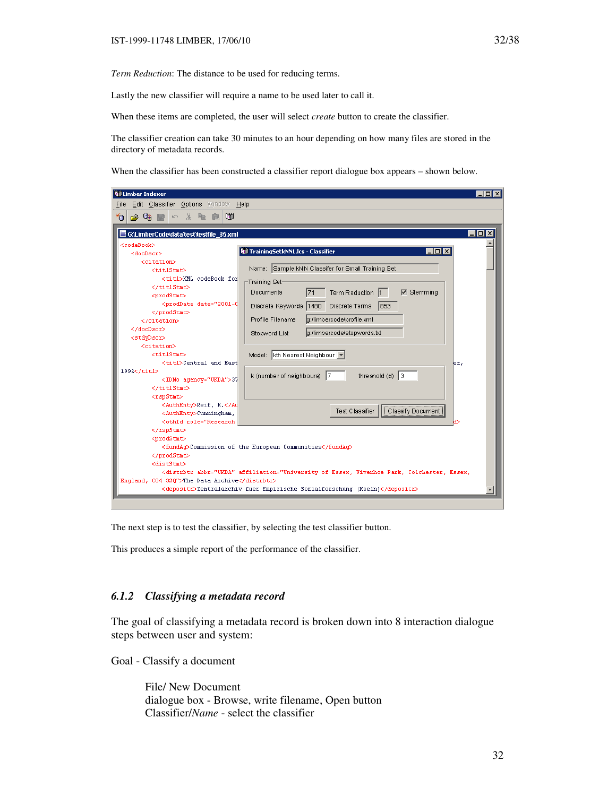Lastly the new classifier will require a name to be used later to call it.

When these items are completed, the user will select *create* button to create the classifier.

The classifier creation can take 30 minutes to an hour depending on how many files are stored in the directory of metadata records.

When the classifier has been constructed a classifier report dialogue box appears – shown below.

| <b>Nil Limber Indexer</b>                                                                                                                                                                                                                                                                                                                                                                                                                                                                                                                                                                                                                                                                                                                              | $\Box$ d $\times$                                                          |
|--------------------------------------------------------------------------------------------------------------------------------------------------------------------------------------------------------------------------------------------------------------------------------------------------------------------------------------------------------------------------------------------------------------------------------------------------------------------------------------------------------------------------------------------------------------------------------------------------------------------------------------------------------------------------------------------------------------------------------------------------------|----------------------------------------------------------------------------|
| Edit Classifier Options Window Help<br>File                                                                                                                                                                                                                                                                                                                                                                                                                                                                                                                                                                                                                                                                                                            |                                                                            |
| 60                                                                                                                                                                                                                                                                                                                                                                                                                                                                                                                                                                                                                                                                                                                                                     |                                                                            |
| ⊁Α<br>$\approx$ Ca Fi                                                                                                                                                                                                                                                                                                                                                                                                                                                                                                                                                                                                                                                                                                                                  |                                                                            |
| G:\LimberCode\data\test\testfile_85.xml                                                                                                                                                                                                                                                                                                                                                                                                                                                                                                                                                                                                                                                                                                                | $\blacksquare$ $\blacksquare$ $\times$                                     |
|                                                                                                                                                                                                                                                                                                                                                                                                                                                                                                                                                                                                                                                                                                                                                        |                                                                            |
| <codebook><br/><docdscr></docdscr></codebook>                                                                                                                                                                                                                                                                                                                                                                                                                                                                                                                                                                                                                                                                                                          | TrainingSetkNN1.lcs - Classifier<br>$ \Box$ $\times$                       |
| <citation></citation>                                                                                                                                                                                                                                                                                                                                                                                                                                                                                                                                                                                                                                                                                                                                  |                                                                            |
| <titlstmt></titlstmt>                                                                                                                                                                                                                                                                                                                                                                                                                                                                                                                                                                                                                                                                                                                                  | Name: Sample kNN Classifer for Small Training Set                          |
| <titl>XML codeBook for</titl>                                                                                                                                                                                                                                                                                                                                                                                                                                                                                                                                                                                                                                                                                                                          |                                                                            |
|                                                                                                                                                                                                                                                                                                                                                                                                                                                                                                                                                                                                                                                                                                                                                        | Training Set-                                                              |
| <prodstmt></prodstmt>                                                                                                                                                                                                                                                                                                                                                                                                                                                                                                                                                                                                                                                                                                                                  | 71<br>Term Reduction<br>Stemming<br>Documents<br>⊽                         |
| <proddate_date="2001-0< th=""><th>Discrete Keywords 1480<br/>Discrete Terms<br/>1853</th></proddate_date="2001-0<>                                                                                                                                                                                                                                                                                                                                                                                                                                                                                                                                                                                                                                     | Discrete Keywords 1480<br>Discrete Terms<br>1853                           |
|                                                                                                                                                                                                                                                                                                                                                                                                                                                                                                                                                                                                                                                                                                                                                        |                                                                            |
|                                                                                                                                                                                                                                                                                                                                                                                                                                                                                                                                                                                                                                                                                                                                                        | Profile Filename<br>g:/limbercode/profile.xml                              |
|                                                                                                                                                                                                                                                                                                                                                                                                                                                                                                                                                                                                                                                                                                                                                        | g:/limbercode/stopwords.bd<br>Stopword List                                |
| <stdydscr></stdydscr>                                                                                                                                                                                                                                                                                                                                                                                                                                                                                                                                                                                                                                                                                                                                  |                                                                            |
| <citation></citation>                                                                                                                                                                                                                                                                                                                                                                                                                                                                                                                                                                                                                                                                                                                                  |                                                                            |
| <titlstmt></titlstmt>                                                                                                                                                                                                                                                                                                                                                                                                                                                                                                                                                                                                                                                                                                                                  | Model:   kth Nearest Neighbour   -                                         |
| <titl>Central and East</titl>                                                                                                                                                                                                                                                                                                                                                                                                                                                                                                                                                                                                                                                                                                                          | er,                                                                        |
| 1992                                                                                                                                                                                                                                                                                                                                                                                                                                                                                                                                                                                                                                                                                                                                                   | k (number of neighbours) $ 7 $<br>threshold $(d)$ 3                        |
| <idno agency="UKDA">37</idno>                                                                                                                                                                                                                                                                                                                                                                                                                                                                                                                                                                                                                                                                                                                          |                                                                            |
|                                                                                                                                                                                                                                                                                                                                                                                                                                                                                                                                                                                                                                                                                                                                                        |                                                                            |
| <rspstmt></rspstmt>                                                                                                                                                                                                                                                                                                                                                                                                                                                                                                                                                                                                                                                                                                                                    |                                                                            |
| <authenty>Reif, K.<authenty>Cunningham,</authenty></authenty>                                                                                                                                                                                                                                                                                                                                                                                                                                                                                                                                                                                                                                                                                          | Test Classifier<br>Classify Document                                       |
| <othid affiliation="University of Essex, Wivenhoe Park, Colchester, Essex,&lt;/td&gt;&lt;/tr&gt;&lt;tr&gt;&lt;td&gt;England, C04 3S0" role="Research&lt;/td&gt;&lt;td&gt;&lt;/td&gt;&lt;/tr&gt;&lt;tr&gt;&lt;th&gt;&lt;/rspStmt&gt;&lt;/th&gt;&lt;th&gt;&lt;/th&gt;&lt;/tr&gt;&lt;tr&gt;&lt;th&gt;&lt;prodStmt&gt;&lt;/th&gt;&lt;th&gt;&lt;/th&gt;&lt;/tr&gt;&lt;tr&gt;&lt;th&gt;&lt;/th&gt;&lt;th&gt;&lt;fundAcoCommission of the European Communities&lt;/fundAco&lt;/th&gt;&lt;/tr&gt;&lt;tr&gt;&lt;th&gt;&lt;/prodStmt&gt;&lt;/th&gt;&lt;th&gt;&lt;/th&gt;&lt;/tr&gt;&lt;tr&gt;&lt;th&gt;&lt;distStmt&gt;&lt;/th&gt;&lt;th&gt;&lt;/th&gt;&lt;/tr&gt;&lt;tr&gt;&lt;td&gt;&lt;/td&gt;&lt;td&gt;&lt;distrbtr abbr=" ukda"="">The Data Archive</othid> |                                                                            |
|                                                                                                                                                                                                                                                                                                                                                                                                                                                                                                                                                                                                                                                                                                                                                        | <depositr>Zentralarchiv fuer Empirische Sozialforschung (Koeln)</depositr> |
|                                                                                                                                                                                                                                                                                                                                                                                                                                                                                                                                                                                                                                                                                                                                                        |                                                                            |

The next step is to test the classifier, by selecting the test classifier button.

This produces a simple report of the performance of the classifier.

### *6.1.2 Classifying a metadata record*

The goal of classifying a metadata record is broken down into 8 interaction dialogue steps between user and system:

Goal - Classify a document

File/ New Document dialogue box - Browse, write filename, Open button Classifier/*Name* - select the classifier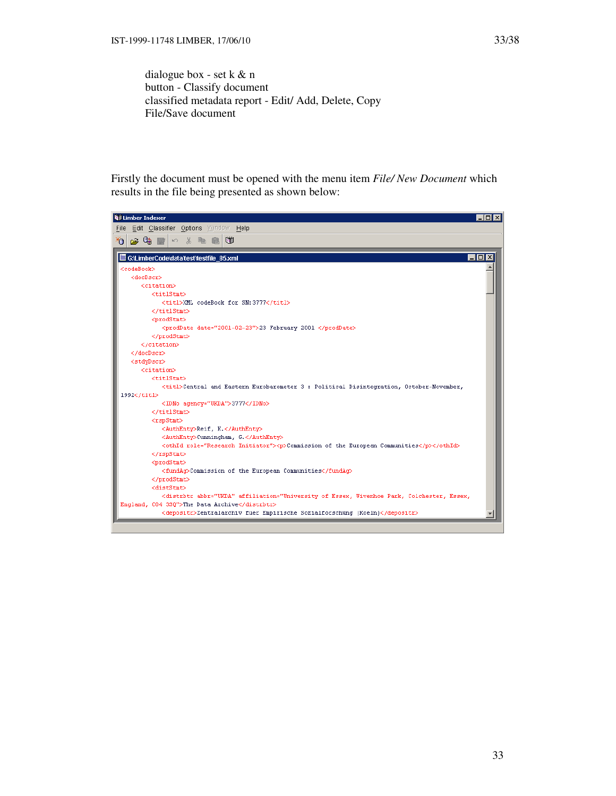dialogue box - set k & n button - Classify document classified metadata report - Edit/ Add, Delete, Copy File/Save document

Firstly the document must be opened with the menu item *File/ New Document* which results in the file being presented as shown below:

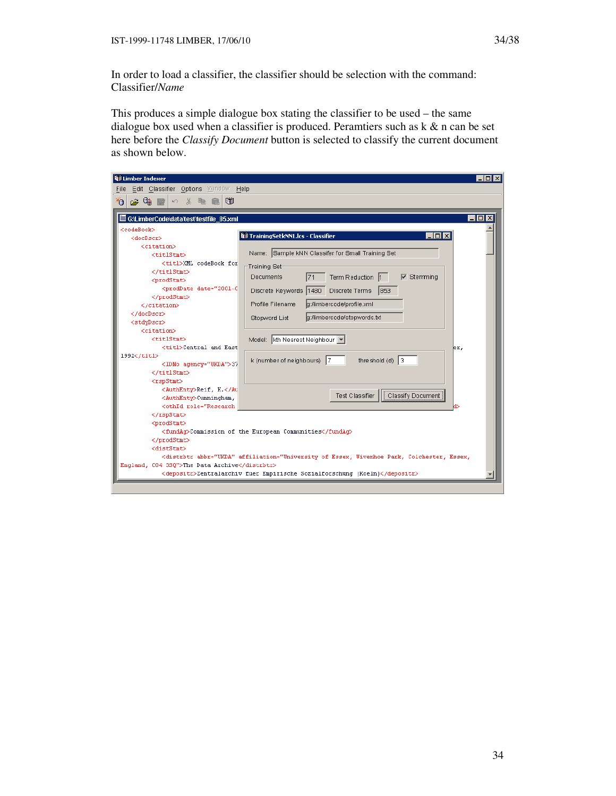In order to load a classifier, the classifier should be selection with the command: Classifier/*Name* 

This produces a simple dialogue box stating the classifier to be used – the same dialogue box used when a classifier is produced. Peramtiers such as  $k \& n$  can be set here before the *Classify Document* button is selected to classify the current document as shown below.

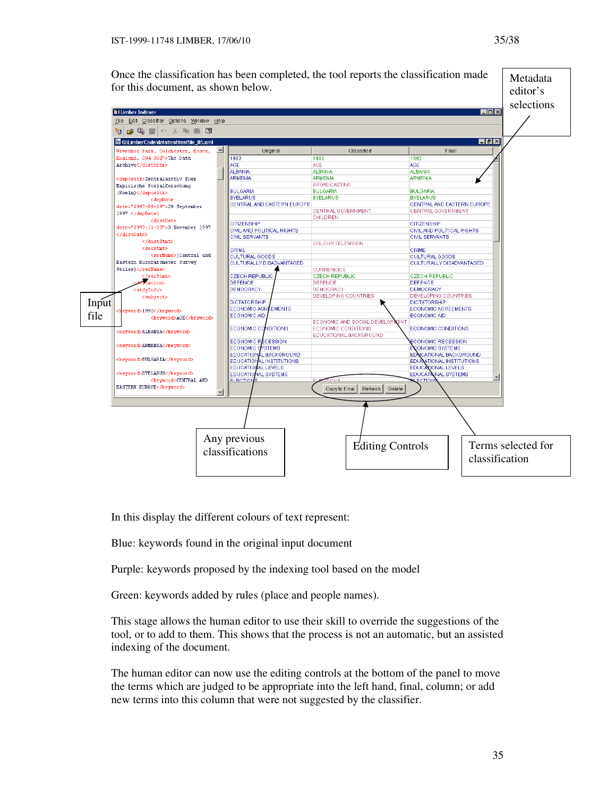Once the classification has been completed, the tool reports the classification made Metadata for this document, as shown below. editor's selections **Willimber Indexer**  $\overline{\phantom{a}}$ File Edit Classifier Options Window Help \*0 <del>20 3 3</del> 4 5 6 5 6 G:LimberCode\data\test\testfile\_85.xml  $\overline{H}$   $\overline{H}$   $\overline{X}$ Wivenhoe Park, Colchester, Essex,  $\blacktriangle$ Original Classified Final England, C04 3S0">The Data 1992  $1992$ 1997 Archive</distrbtr> AGE AGE AL RANIA AL BANIA . . . . .<br>AL RANIA ARMENIA ARMENIA RMENIA (depositr>Zentralarchiv fuer **BROADCASTING** Empirische Sozialforschung **BULGARIA BULGARIA BULGARIA**  $(Koeln)$ </depositr> **RYFLARUS BYELARUS BYELARUS** <depDate CENTRAL AND EASTERN EUROPE CENTRAL AND EASTERN EUROPE date="1997-09-29">29 September CENTRAL GOVERNMENT CENTRAL GOVERNMENT 1997 </depDate> CHILDREN <distDate **CITIZENSHIP CITIZENSHIP** date="1997-11-03">3 November 1997 CIVIL AND POLITICAL RIGHTS CIVIL AND POLITICAL RIGHTS </distDate> CIVIL SERVANTS **CIVIL SERVANTS** </distStmt> **COLOUR TELEVISION** <serStmt> CRIME <serName>(Central and CULTURAL GOODS SHIIIL<br>CULTURAL GOODS Eastern Eurobarometer Survey CULTURALLY DISADVANTAGED CULTURALLY DISADVANTAGED Series)</serName> **CURRENCIES** CZECH REPUBLIC CZECH REPUBLIC /serStmtD **CZECH REPUBLIC**  $\frac{1}{\sqrt{2}}$  ations DEFENCE **DEFENCE DEFENCE** DEMOCRACY **DEMOCRACY** DEMOCRACY <stdyInfo> DEVELOPING COUNTRIES -<br><subject> **COUNTRIES DEVELOPING DICTATORSHIP** Input **DICTATORSHIP** ECONOMIC AGREEMENTS ECONOMIC AGR EMENTS d>1992</keyword> file ECONOMIC AID ECONOMIC AID <keyword>AGE</keyword> ECONOMIC AND SOCIAL DEVELO ECONOMIC CO VDITIONS **ECONOMIC CONDITIONS** ECONOMIC CONDITIONS —<br><keyword>ALBANIA</keyword> EDUCATIONAL BACKGROUND **ECONOMIC R** CESSION CONOMIC RECESSION keyword>ARMENIA</keyword> ECONOMIC STEMS NOMIC SYSTEMS L BACKGROUND CATIONAL BACKGROUND **EDUCATION** .<br><keyword>BULGARIA</keyword> EDUCATIO AL INSTITUTIONS TIONAL INSTITUTIONS AL LEVELS **EDUCATI** EDUC **NIONAL LEVELS Ckeyword>BYELARUS</keyword>** EDUCAT AL SYSTEMS **EDUC/ VAL SYSTEMS** <keyword>CENTRAL AND **LEOTI** EASTERN EUROPE</keyword> Copy to Final Refresh Delete Any previous  $\begin{array}{c|c|c|c} \hline \text{Equation} & \text{Equation} & \text{Equation} \\ \text{classifications} & \text{Equation} & \text{Equation} \\ \hline \end{array}$ classification

In this display the different colours of text represent:

Blue: keywords found in the original input document

Purple: keywords proposed by the indexing tool based on the model

Green: keywords added by rules (place and people names).

This stage allows the human editor to use their skill to override the suggestions of the tool, or to add to them. This shows that the process is not an automatic, but an assisted indexing of the document.

The human editor can now use the editing controls at the bottom of the panel to move the terms which are judged to be appropriate into the left hand, final, column; or add new terms into this column that were not suggested by the classifier.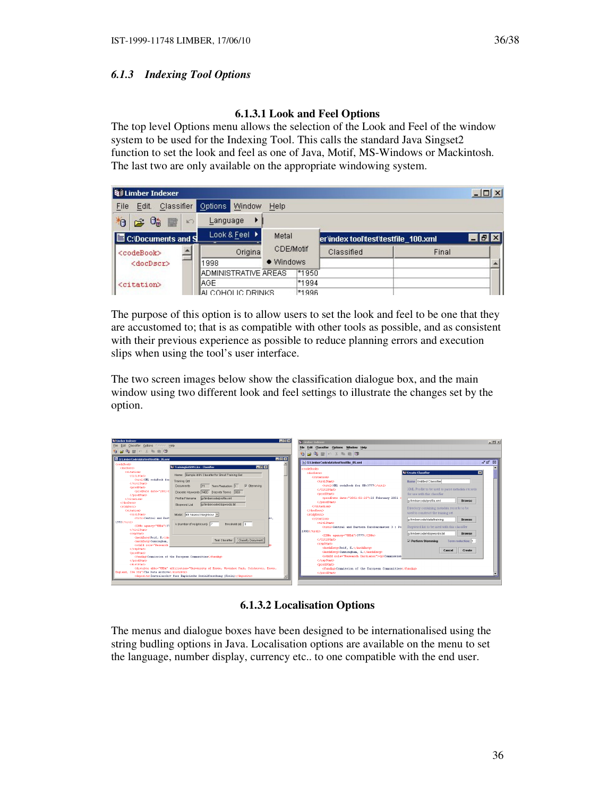# *6.1.3 Indexing Tool Options*

# **6.1.3.1 Look and Feel Options**

The top level Options menu allows the selection of the Look and Feel of the window system to be used for the Indexing Tool. This calls the standard Java Singset2 function to set the look and feel as one of Java, Motif, MS-Windows or Mackintosh. The last two are only available on the appropriate windowing system.

| Limber Indexer                                |                                                    |                               |                                     |       | $ \Box$ $\times$       |
|-----------------------------------------------|----------------------------------------------------|-------------------------------|-------------------------------------|-------|------------------------|
| Classifier<br>File<br>Edit.                   | Options<br>Window                                  | Help                          |                                     |       |                        |
| 粕<br>62 G<br>圖<br>K                           | Language                                           |                               |                                     |       |                        |
| <b>E</b> C:\Documents and S                   | Look & Feel ▶                                      | Metal                         | er/index tool/test/testfile 100.xml |       | $\Box$ $\Box$ $\times$ |
| <codebook><br/><docdscr></docdscr></codebook> | Origina<br>1998                                    | <b>CDE/Motif</b><br>● Windows | Classified                          | Final |                        |
| <citation></citation>                         | ADMINISTRATIVE AREAS<br>IAGE.<br>IALCOHOLIC DRINKS | $*1950$<br>*1994<br>*1996     |                                     |       |                        |

The purpose of this option is to allow users to set the look and feel to be one that they are accustomed to; that is as compatible with other tools as possible, and as consistent with their previous experience as possible to reduce planning errors and execution slips when using the tool's user interface.

The two screen images below show the classification dialogue box, and the main window using two different look and feel settings to illustrate the changes set by the option.



**6.1.3.2 Localisation Options** 

The menus and dialogue boxes have been designed to be internationalised using the string budling options in Java. Localisation options are available on the menu to set the language, number display, currency etc.. to one compatible with the end user.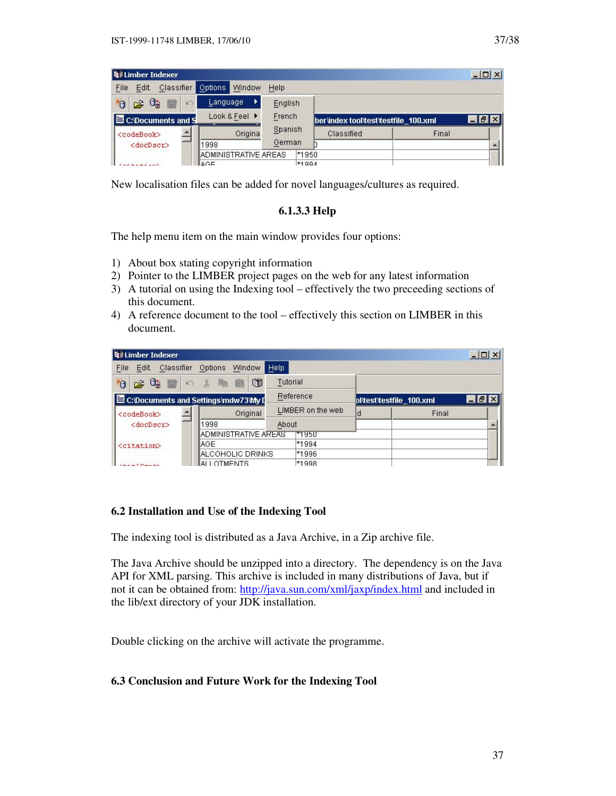| <b>Q</b> il Limber Indexer         |       |                              |               |         |         |                                      |       | $ \Box$ $\times$ |
|------------------------------------|-------|------------------------------|---------------|---------|---------|--------------------------------------|-------|------------------|
| <b>Classifier</b><br>Edit.<br>File |       | Options                      | Window        | Help    |         |                                      |       |                  |
| $\approx 0$<br>*o<br><b>B</b>      | $K$ ) | Language                     |               | English |         |                                      |       |                  |
| C:\Documents and S                 |       |                              | Look & Feel ▶ | French  |         | berlindex tool'test'testfile 100.xml |       | $ F$ $\times$    |
| <codebook></codebook>              |       |                              | Origina       | Spanish |         | Classified                           | Final |                  |
| <docdscr></docdscr>                |       | 11998                        |               | German  |         |                                      |       |                  |
|                                    |       | <b>IADMINISTRATIVE AREAS</b> |               |         | $*1950$ |                                      |       |                  |
|                                    |       | la∩⊑                         |               |         | $*1001$ |                                      |       |                  |

New localisation files can be added for novel languages/cultures as required.

# **6.1.3.3 Help**

The help menu item on the main window provides four options:

- 1) About box stating copyright information
- 2) Pointer to the LIMBER project pages on the web for any latest information
- 3) A tutorial on using the Indexing tool effectively the two preceeding sections of this document.
- 4) A reference document to the tool effectively this section on LIMBER in this document.

| Limber Indexer                        |                               |                   |         |                          |       | $ \Box$ $\times$ |
|---------------------------------------|-------------------------------|-------------------|---------|--------------------------|-------|------------------|
| Classifier<br>Edit.<br>File           | Window<br>Options             | Help              |         |                          |       |                  |
| 柏<br>Oh<br>圖<br>$\kappa \gamma$<br>ದಿ | Ü<br>酯<br>$\frac{1}{26}$<br>自 | Tutorial          |         |                          |       |                  |
| C:\Documents and Settings\mdw73\My D  |                               | Reference         |         | pl'test'testfile 100.xml |       | $ F$ $\times$    |
| <codebook></codebook>                 | Original                      | LIMBER on the web |         | d                        | Final |                  |
| <docdscr></docdscr>                   | 1998                          | About             |         |                          |       |                  |
|                                       | ADMINISTRATIVE AREAS          |                   | ™1950   |                          |       |                  |
| <citation></citation>                 | IAGE.                         |                   | *1994   |                          |       |                  |
|                                       | IALCOHOLIC DRINKS             |                   | *1996   |                          |       |                  |
|                                       | IALLOTMENTS                   |                   | $*1998$ |                          |       |                  |

# **6.2 Installation and Use of the Indexing Tool**

The indexing tool is distributed as a Java Archive, in a Zip archive file.

The Java Archive should be unzipped into a directory. The dependency is on the Java API for XML parsing. This archive is included in many distributions of Java, but if not it can be obtained from: http://java.sun.com/xml/jaxp/index.html and included in the lib/ext directory of your JDK installation.

Double clicking on the archive will activate the programme.

## **6.3 Conclusion and Future Work for the Indexing Tool**